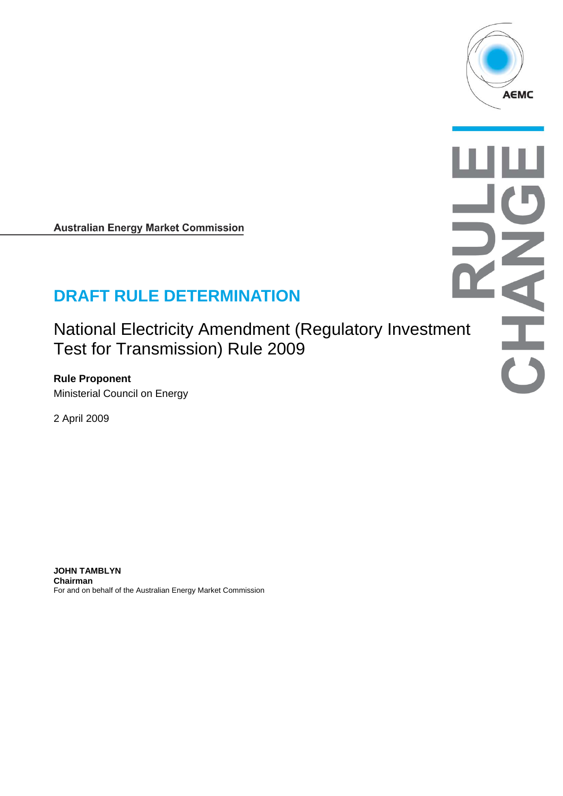

**Australian Energy Market Commission** 

# **DRAFT RULE DETERMINATION**

National Electricity Amendment (Regulatory Investment Test for Transmission) Rule 2009

**Rule Proponent**  Ministerial Council on Energy

2 April 2009

**JOHN TAMBLYN Chairman**  For and on behalf of the Australian Energy Market Commission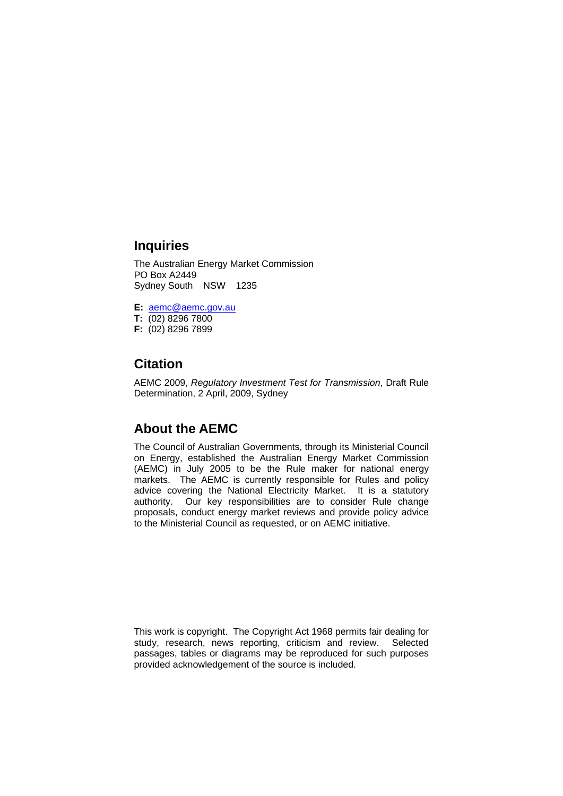## **Inquiries**

The Australian Energy Market Commission PO Box A2449 Sydney South NSW 1235

**E:** aemc@aemc.gov.au **T:** (02) 8296 7800

**F:** (02) 8296 7899

# **Citation**

AEMC 2009, *Regulatory Investment Test for Transmission*, Draft Rule Determination, 2 April, 2009, Sydney

# **About the AEMC**

The Council of Australian Governments, through its Ministerial Council on Energy, established the Australian Energy Market Commission (AEMC) in July 2005 to be the Rule maker for national energy markets. The AEMC is currently responsible for Rules and policy advice covering the National Electricity Market. It is a statutory authority. Our key responsibilities are to consider Rule change proposals, conduct energy market reviews and provide policy advice to the Ministerial Council as requested, or on AEMC initiative.

This work is copyright. The Copyright Act 1968 permits fair dealing for study, research, news reporting, criticism and review. Selected passages, tables or diagrams may be reproduced for such purposes provided acknowledgement of the source is included.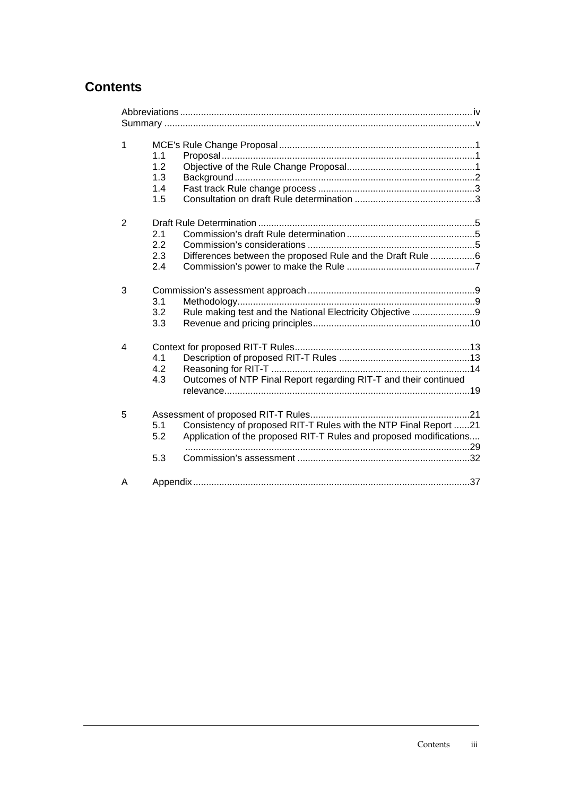# **Contents**

| 1                       | 1.1<br>1.2<br>1.3<br>1.4<br>1.5 |                                                                                                                                        |  |
|-------------------------|---------------------------------|----------------------------------------------------------------------------------------------------------------------------------------|--|
| 2                       | 2.1<br>2.2<br>2.3<br>2.4        | Differences between the proposed Rule and the Draft Rule 6                                                                             |  |
| 3                       | 3.1<br>3.2<br>3.3               | Rule making test and the National Electricity Objective 9                                                                              |  |
| $\overline{\mathbf{4}}$ | 4.1<br>4.2<br>4.3               | Outcomes of NTP Final Report regarding RIT-T and their continued                                                                       |  |
| 5                       | 5.1<br>5.2<br>5.3               | Consistency of proposed RIT-T Rules with the NTP Final Report 21<br>Application of the proposed RIT-T Rules and proposed modifications |  |
| A                       |                                 |                                                                                                                                        |  |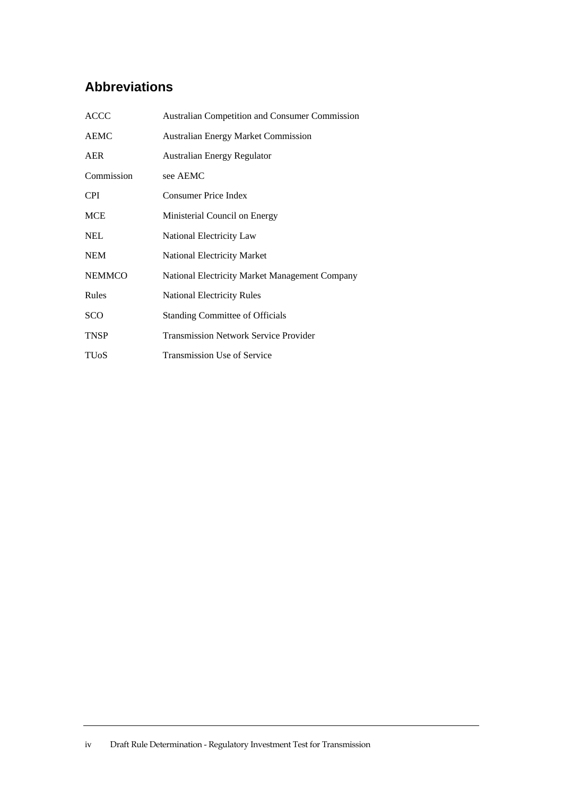# **Abbreviations**

| <b>ACCC</b>            | Australian Competition and Consumer Commission |
|------------------------|------------------------------------------------|
| <b>AEMC</b>            | <b>Australian Energy Market Commission</b>     |
| AER                    | Australian Energy Regulator                    |
| Commission             | see AEMC                                       |
| <b>CPI</b>             | <b>Consumer Price Index</b>                    |
| <b>MCE</b>             | Ministerial Council on Energy                  |
| <b>NEL</b>             | National Electricity Law                       |
| <b>NEM</b>             | <b>National Electricity Market</b>             |
| <b>NEMMCO</b>          | National Electricity Market Management Company |
| Rules                  | <b>National Electricity Rules</b>              |
| <b>SCO</b>             | <b>Standing Committee of Officials</b>         |
| <b>TNSP</b>            | <b>Transmission Network Service Provider</b>   |
| <b>TU<sub>o</sub>S</b> | <b>Transmission Use of Service</b>             |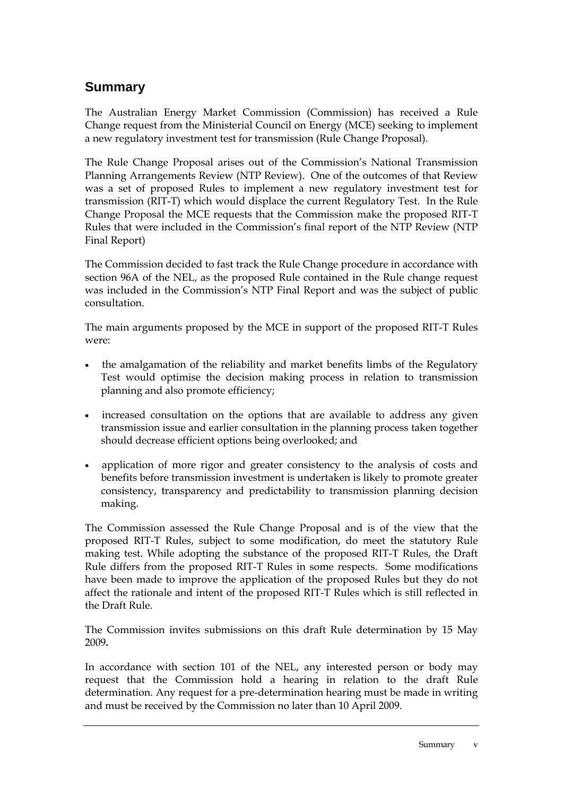# **Summary**

The Australian Energy Market Commission (Commission) has received a Rule Change request from the Ministerial Council on Energy (MCE) seeking to implement a new regulatory investment test for transmission (Rule Change Proposal).

The Rule Change Proposal arises out of the Commission's National Transmission Planning Arrangements Review (NTP Review). One of the outcomes of that Review was a set of proposed Rules to implement a new regulatory investment test for transmission (RIT-T) which would displace the current Regulatory Test. In the Rule Change Proposal the MCE requests that the Commission make the proposed RIT-T Rules that were included in the Commission's final report of the NTP Review (NTP Final Report)

The Commission decided to fast track the Rule Change procedure in accordance with section 96A of the NEL, as the proposed Rule contained in the Rule change request was included in the Commission's NTP Final Report and was the subject of public consultation.

The main arguments proposed by the MCE in support of the proposed RIT-T Rules were:

- the amalgamation of the reliability and market benefits limbs of the Regulatory Test would optimise the decision making process in relation to transmission planning and also promote efficiency;
- increased consultation on the options that are available to address any given transmission issue and earlier consultation in the planning process taken together should decrease efficient options being overlooked; and
- application of more rigor and greater consistency to the analysis of costs and benefits before transmission investment is undertaken is likely to promote greater consistency, transparency and predictability to transmission planning decision making.

The Commission assessed the Rule Change Proposal and is of the view that the proposed RIT-T Rules, subject to some modification, do meet the statutory Rule making test. While adopting the substance of the proposed RIT-T Rules, the Draft Rule differs from the proposed RIT-T Rules in some respects. Some modifications have been made to improve the application of the proposed Rules but they do not affect the rationale and intent of the proposed RIT-T Rules which is still reflected in the Draft Rule.

The Commission invites submissions on this draft Rule determination by 15 May 2009**.** 

In accordance with section 101 of the NEL, any interested person or body may request that the Commission hold a hearing in relation to the draft Rule determination. Any request for a pre-determination hearing must be made in writing and must be received by the Commission no later than 10 April 2009.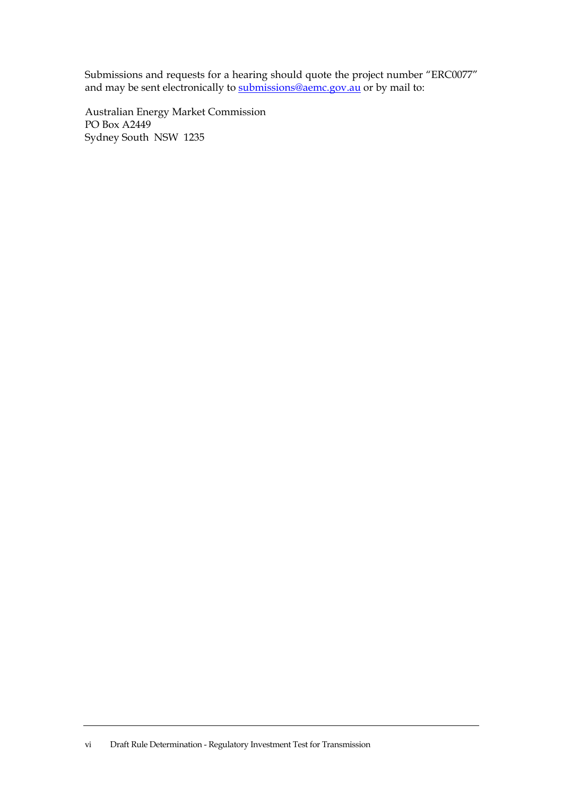Submissions and requests for a hearing should quote the project number "ERC0077" and may be sent electronically to submissions@aemc.gov.au or by mail to:

Australian Energy Market Commission PO Box A2449 Sydney South NSW 1235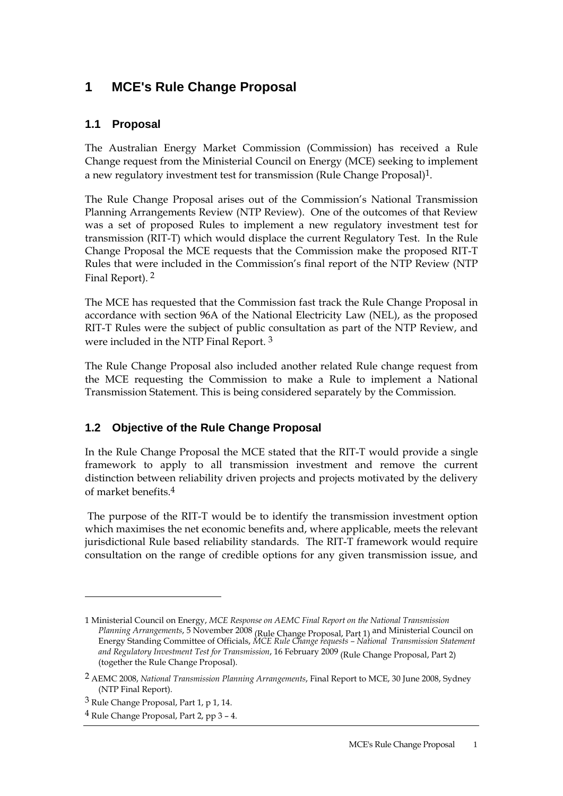# **1 MCE's Rule Change Proposal**

### **1.1 Proposal**

The Australian Energy Market Commission (Commission) has received a Rule Change request from the Ministerial Council on Energy (MCE) seeking to implement a new regulatory investment test for transmission (Rule Change Proposal)1.

The Rule Change Proposal arises out of the Commission's National Transmission Planning Arrangements Review (NTP Review). One of the outcomes of that Review was a set of proposed Rules to implement a new regulatory investment test for transmission (RIT-T) which would displace the current Regulatory Test. In the Rule Change Proposal the MCE requests that the Commission make the proposed RIT-T Rules that were included in the Commission's final report of the NTP Review (NTP Final Report). 2

The MCE has requested that the Commission fast track the Rule Change Proposal in accordance with section 96A of the National Electricity Law (NEL), as the proposed RIT-T Rules were the subject of public consultation as part of the NTP Review, and were included in the NTP Final Report. 3

The Rule Change Proposal also included another related Rule change request from the MCE requesting the Commission to make a Rule to implement a National Transmission Statement. This is being considered separately by the Commission.

### **1.2 Objective of the Rule Change Proposal**

In the Rule Change Proposal the MCE stated that the RIT-T would provide a single framework to apply to all transmission investment and remove the current distinction between reliability driven projects and projects motivated by the delivery of market benefits.4

 The purpose of the RIT-T would be to identify the transmission investment option which maximises the net economic benefits and, where applicable, meets the relevant jurisdictional Rule based reliability standards. The RIT-T framework would require consultation on the range of credible options for any given transmission issue, and

 $\overline{a}$ 

<sup>1</sup> Ministerial Council on Energy, *MCE Response on AEMC Final Report on the National Transmission Planning Arrangements*, 5 November 2008 (Rule Change Proposal, Part 1) and Ministerial Council on Energy Standing Committee of Officials, *MCE Rule Change requests – National Transmission Statement and Regulatory Investment Test for Transmission*, 16 February 2009 (Rule Change Proposal, Part 2) (together the Rule Change Proposal).

<sup>2</sup> AEMC 2008, *National Transmission Planning Arrangements*, Final Report to MCE, 30 June 2008, Sydney (NTP Final Report).

<sup>3</sup> Rule Change Proposal, Part 1, p 1, 14.

 $4$  Rule Change Proposal, Part 2, pp  $3 - 4$ .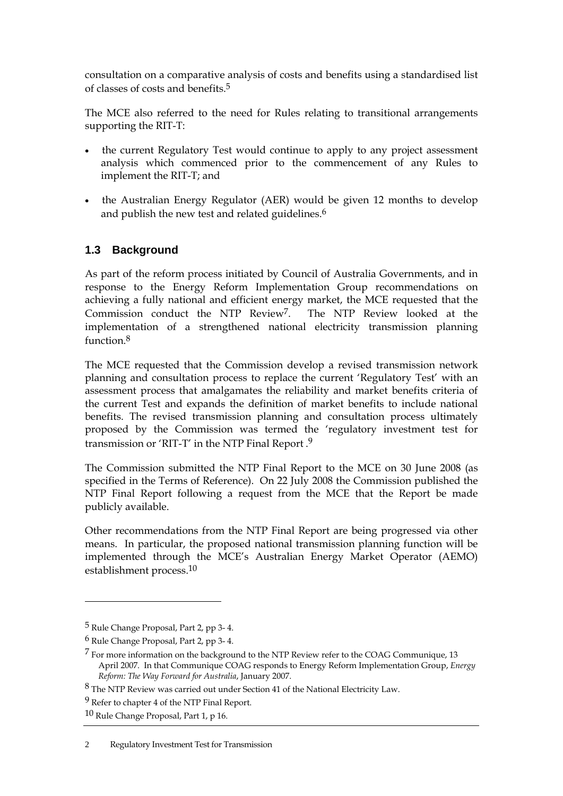consultation on a comparative analysis of costs and benefits using a standardised list of classes of costs and benefits.5

The MCE also referred to the need for Rules relating to transitional arrangements supporting the RIT-T:

- the current Regulatory Test would continue to apply to any project assessment analysis which commenced prior to the commencement of any Rules to implement the RIT-T; and
- the Australian Energy Regulator (AER) would be given 12 months to develop and publish the new test and related guidelines.<sup>6</sup>

### **1.3 Background**

As part of the reform process initiated by Council of Australia Governments, and in response to the Energy Reform Implementation Group recommendations on achieving a fully national and efficient energy market, the MCE requested that the Commission conduct the NTP Review<sup>7</sup>. The NTP Review looked at the implementation of a strengthened national electricity transmission planning function.8

The MCE requested that the Commission develop a revised transmission network planning and consultation process to replace the current 'Regulatory Test' with an assessment process that amalgamates the reliability and market benefits criteria of the current Test and expands the definition of market benefits to include national benefits. The revised transmission planning and consultation process ultimately proposed by the Commission was termed the 'regulatory investment test for transmission or 'RIT-T' in the NTP Final Report . 9

The Commission submitted the NTP Final Report to the MCE on 30 June 2008 (as specified in the Terms of Reference). On 22 July 2008 the Commission published the NTP Final Report following a request from the MCE that the Report be made publicly available.

Other recommendations from the NTP Final Report are being progressed via other means. In particular, the proposed national transmission planning function will be implemented through the MCE's Australian Energy Market Operator (AEMO) establishment process.10

 $\overline{a}$ 

<sup>5</sup> Rule Change Proposal, Part 2, pp 3- 4.

<sup>6</sup> Rule Change Proposal, Part 2, pp 3- 4.

<sup>7</sup> For more information on the background to the NTP Review refer to the COAG Communique, 13 April 2007. In that Communique COAG responds to Energy Reform Implementation Group, *Energy Reform: The Way Forward for Australia*, January 2007.

<sup>8</sup> The NTP Review was carried out under Section 41 of the National Electricity Law.

<sup>9</sup> Refer to chapter 4 of the NTP Final Report.

<sup>10</sup> Rule Change Proposal, Part 1, p 16.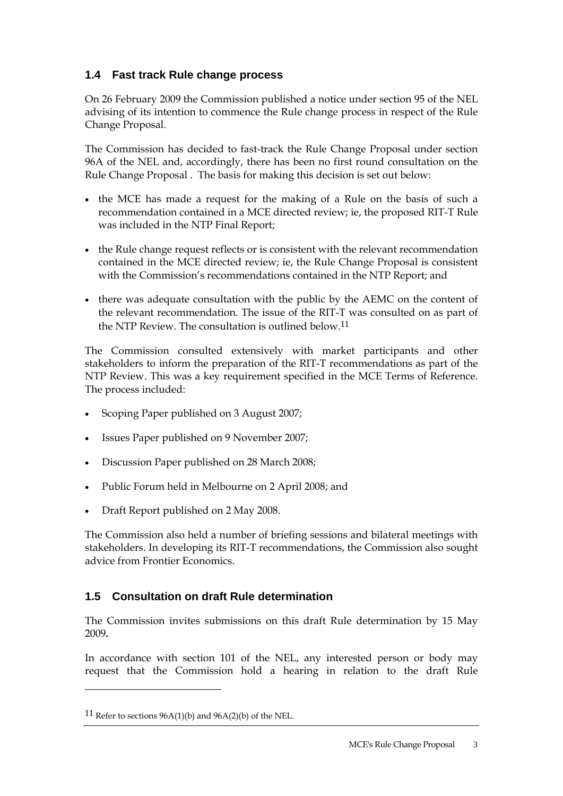### **1.4 Fast track Rule change process**

On 26 February 2009 the Commission published a notice under section 95 of the NEL advising of its intention to commence the Rule change process in respect of the Rule Change Proposal.

The Commission has decided to fast-track the Rule Change Proposal under section 96A of the NEL and, accordingly, there has been no first round consultation on the Rule Change Proposal . The basis for making this decision is set out below:

- the MCE has made a request for the making of a Rule on the basis of such a recommendation contained in a MCE directed review; ie, the proposed RIT-T Rule was included in the NTP Final Report;
- the Rule change request reflects or is consistent with the relevant recommendation contained in the MCE directed review; ie, the Rule Change Proposal is consistent with the Commission's recommendations contained in the NTP Report; and
- there was adequate consultation with the public by the AEMC on the content of the relevant recommendation. The issue of the RIT-T was consulted on as part of the NTP Review. The consultation is outlined below.11

The Commission consulted extensively with market participants and other stakeholders to inform the preparation of the RIT-T recommendations as part of the NTP Review. This was a key requirement specified in the MCE Terms of Reference. The process included:

- Scoping Paper published on 3 August 2007;
- Issues Paper published on 9 November 2007;
- Discussion Paper published on 28 March 2008;
- Public Forum held in Melbourne on 2 April 2008; and
- Draft Report published on 2 May 2008.

The Commission also held a number of briefing sessions and bilateral meetings with stakeholders. In developing its RIT-T recommendations, the Commission also sought advice from Frontier Economics.

### **1.5 Consultation on draft Rule determination**

The Commission invites submissions on this draft Rule determination by 15 May 2009**.** 

In accordance with section 101 of the NEL, any interested person or body may request that the Commission hold a hearing in relation to the draft Rule

 $\overline{a}$ 

<sup>11</sup> Refer to sections  $96A(1)(b)$  and  $96A(2)(b)$  of the NEL.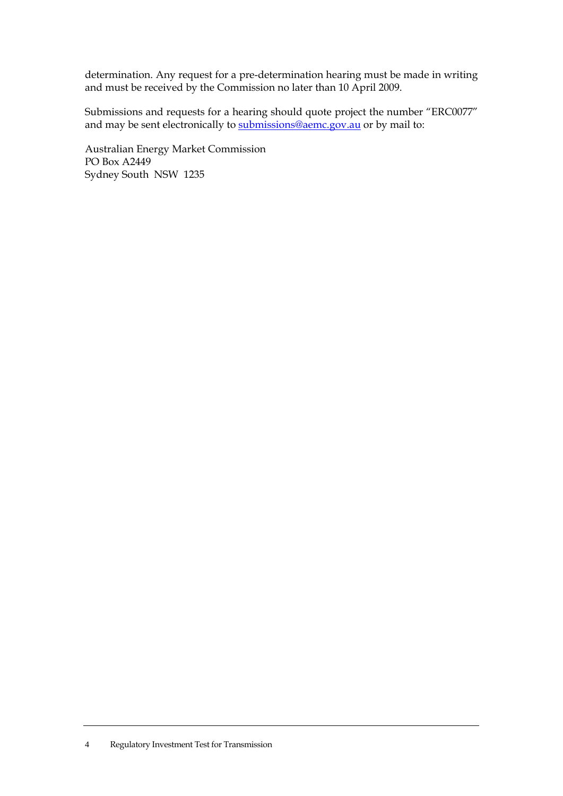determination. Any request for a pre-determination hearing must be made in writing and must be received by the Commission no later than 10 April 2009.

Submissions and requests for a hearing should quote project the number "ERC0077" and may be sent electronically to submissions@aemc.gov.au or by mail to:

Australian Energy Market Commission PO Box A2449 Sydney South NSW 1235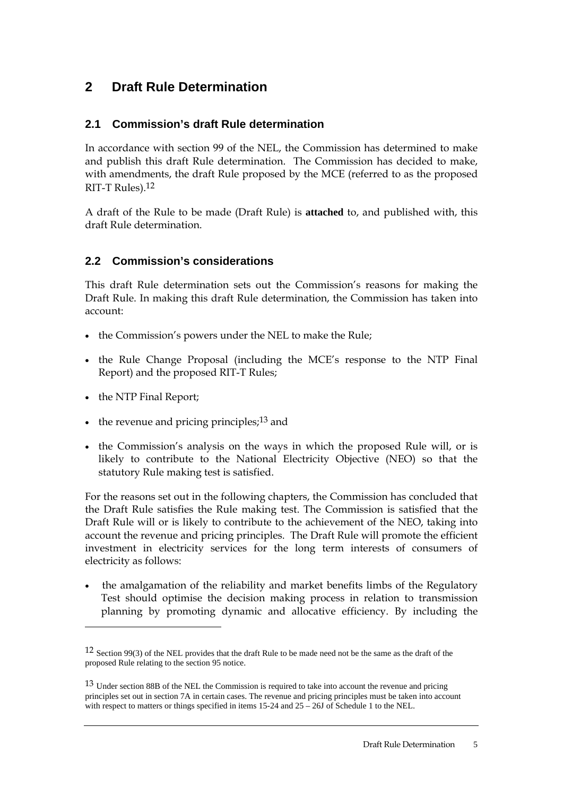# **2 Draft Rule Determination**

### **2.1 Commission's draft Rule determination**

In accordance with section 99 of the NEL, the Commission has determined to make and publish this draft Rule determination. The Commission has decided to make, with amendments, the draft Rule proposed by the MCE (referred to as the proposed RIT-T Rules).12

A draft of the Rule to be made (Draft Rule) is **attached** to, and published with, this draft Rule determination.

### **2.2 Commission's considerations**

This draft Rule determination sets out the Commission's reasons for making the Draft Rule. In making this draft Rule determination, the Commission has taken into account:

- the Commission's powers under the NEL to make the Rule;
- the Rule Change Proposal (including the MCE's response to the NTP Final Report) and the proposed RIT-T Rules;
- the NTP Final Report;

1

- $\bullet$  the revenue and pricing principles;  $13$  and
- the Commission's analysis on the ways in which the proposed Rule will, or is likely to contribute to the National Electricity Objective (NEO) so that the statutory Rule making test is satisfied.

For the reasons set out in the following chapters, the Commission has concluded that the Draft Rule satisfies the Rule making test. The Commission is satisfied that the Draft Rule will or is likely to contribute to the achievement of the NEO, taking into account the revenue and pricing principles. The Draft Rule will promote the efficient investment in electricity services for the long term interests of consumers of electricity as follows:

• the amalgamation of the reliability and market benefits limbs of the Regulatory Test should optimise the decision making process in relation to transmission planning by promoting dynamic and allocative efficiency. By including the

<sup>12</sup> Section 99(3) of the NEL provides that the draft Rule to be made need not be the same as the draft of the proposed Rule relating to the section 95 notice.

<sup>13</sup> Under section 88B of the NEL the Commission is required to take into account the revenue and pricing principles set out in section 7A in certain cases. The revenue and pricing principles must be taken into account with respect to matters or things specified in items 15-24 and 25 – 26J of Schedule 1 to the NEL.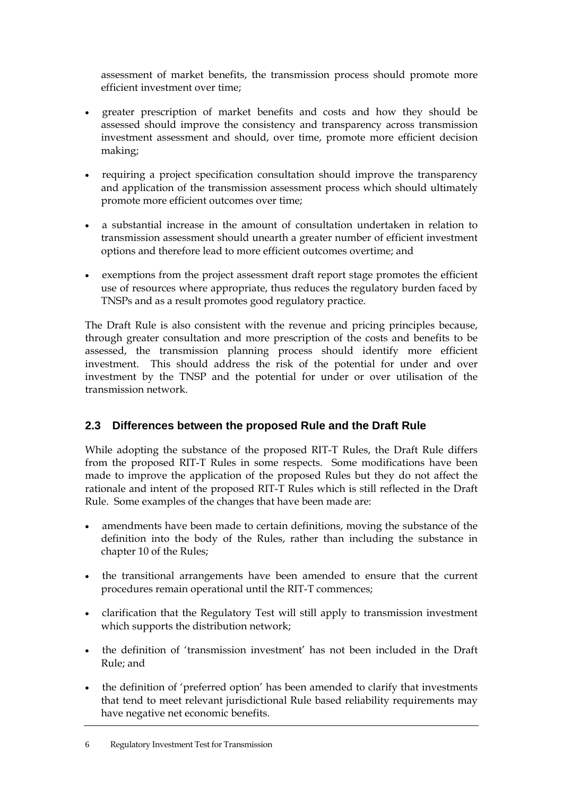assessment of market benefits, the transmission process should promote more efficient investment over time;

- greater prescription of market benefits and costs and how they should be assessed should improve the consistency and transparency across transmission investment assessment and should, over time, promote more efficient decision making;
- requiring a project specification consultation should improve the transparency and application of the transmission assessment process which should ultimately promote more efficient outcomes over time;
- a substantial increase in the amount of consultation undertaken in relation to transmission assessment should unearth a greater number of efficient investment options and therefore lead to more efficient outcomes overtime; and
- exemptions from the project assessment draft report stage promotes the efficient use of resources where appropriate, thus reduces the regulatory burden faced by TNSPs and as a result promotes good regulatory practice.

The Draft Rule is also consistent with the revenue and pricing principles because, through greater consultation and more prescription of the costs and benefits to be assessed, the transmission planning process should identify more efficient investment. This should address the risk of the potential for under and over investment by the TNSP and the potential for under or over utilisation of the transmission network.

### **2.3 Differences between the proposed Rule and the Draft Rule**

While adopting the substance of the proposed RIT-T Rules, the Draft Rule differs from the proposed RIT-T Rules in some respects. Some modifications have been made to improve the application of the proposed Rules but they do not affect the rationale and intent of the proposed RIT-T Rules which is still reflected in the Draft Rule. Some examples of the changes that have been made are:

- amendments have been made to certain definitions, moving the substance of the definition into the body of the Rules, rather than including the substance in chapter 10 of the Rules;
- the transitional arrangements have been amended to ensure that the current procedures remain operational until the RIT-T commences;
- clarification that the Regulatory Test will still apply to transmission investment which supports the distribution network;
- the definition of 'transmission investment' has not been included in the Draft Rule; and
- the definition of 'preferred option' has been amended to clarify that investments that tend to meet relevant jurisdictional Rule based reliability requirements may have negative net economic benefits.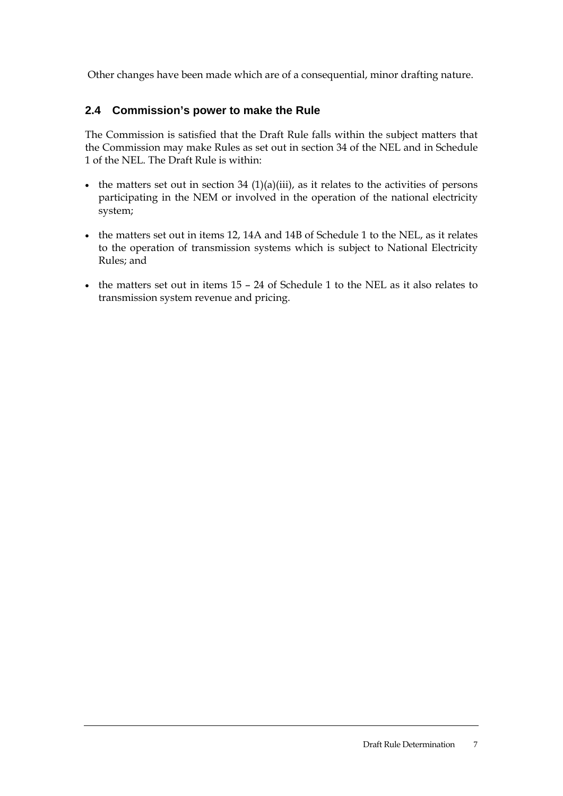Other changes have been made which are of a consequential, minor drafting nature.

## **2.4 Commission's power to make the Rule**

The Commission is satisfied that the Draft Rule falls within the subject matters that the Commission may make Rules as set out in section 34 of the NEL and in Schedule 1 of the NEL. The Draft Rule is within:

- the matters set out in section 34 (1)(a)(iii), as it relates to the activities of persons participating in the NEM or involved in the operation of the national electricity system;
- the matters set out in items 12, 14A and 14B of Schedule 1 to the NEL, as it relates to the operation of transmission systems which is subject to National Electricity Rules; and
- the matters set out in items 15 24 of Schedule 1 to the NEL as it also relates to transmission system revenue and pricing.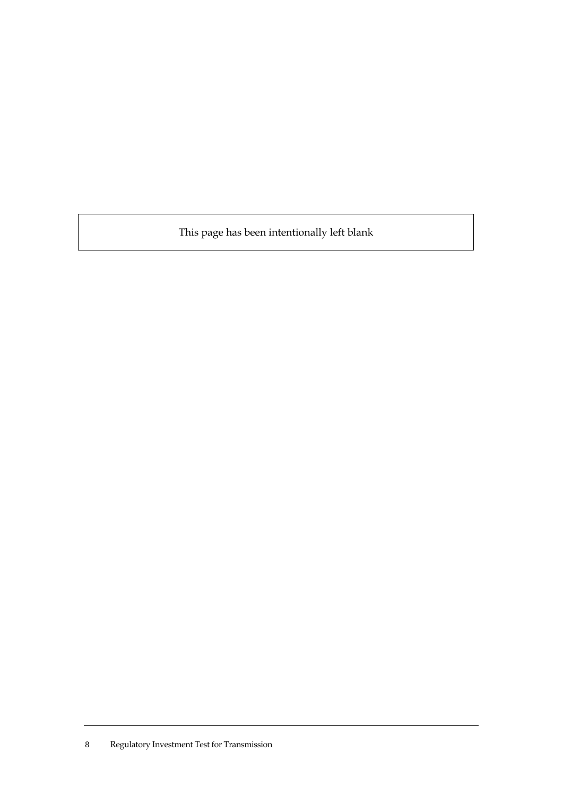This page has been intentionally left blank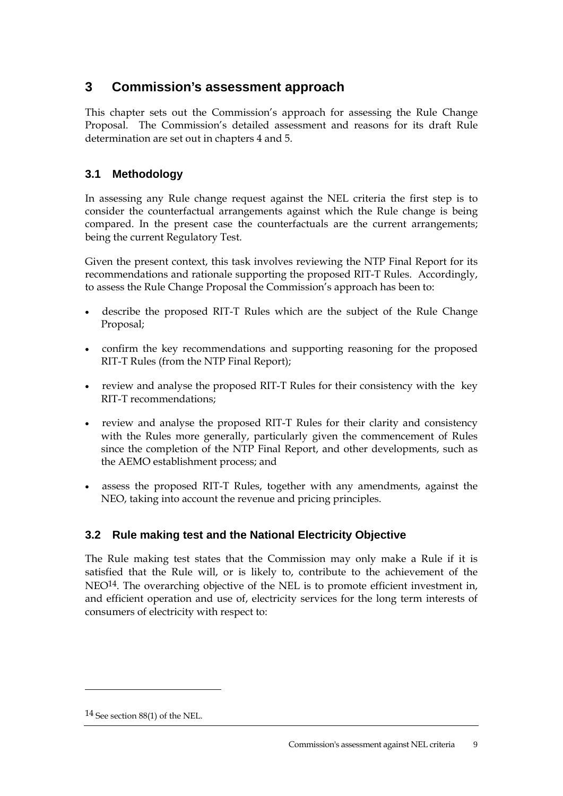# **3 Commission's assessment approach**

This chapter sets out the Commission's approach for assessing the Rule Change Proposal. The Commission's detailed assessment and reasons for its draft Rule determination are set out in chapters 4 and 5.

# **3.1 Methodology**

In assessing any Rule change request against the NEL criteria the first step is to consider the counterfactual arrangements against which the Rule change is being compared. In the present case the counterfactuals are the current arrangements; being the current Regulatory Test.

Given the present context, this task involves reviewing the NTP Final Report for its recommendations and rationale supporting the proposed RIT-T Rules. Accordingly, to assess the Rule Change Proposal the Commission's approach has been to:

- describe the proposed RIT-T Rules which are the subject of the Rule Change Proposal;
- confirm the key recommendations and supporting reasoning for the proposed RIT-T Rules (from the NTP Final Report);
- review and analyse the proposed RIT-T Rules for their consistency with the key RIT-T recommendations;
- review and analyse the proposed RIT-T Rules for their clarity and consistency with the Rules more generally, particularly given the commencement of Rules since the completion of the NTP Final Report, and other developments, such as the AEMO establishment process; and
- assess the proposed RIT-T Rules, together with any amendments, against the NEO, taking into account the revenue and pricing principles.

# **3.2 Rule making test and the National Electricity Objective**

The Rule making test states that the Commission may only make a Rule if it is satisfied that the Rule will, or is likely to, contribute to the achievement of the NEO14. The overarching objective of the NEL is to promote efficient investment in, and efficient operation and use of, electricity services for the long term interests of consumers of electricity with respect to:

1

<sup>14</sup> See section 88(1) of the NEL.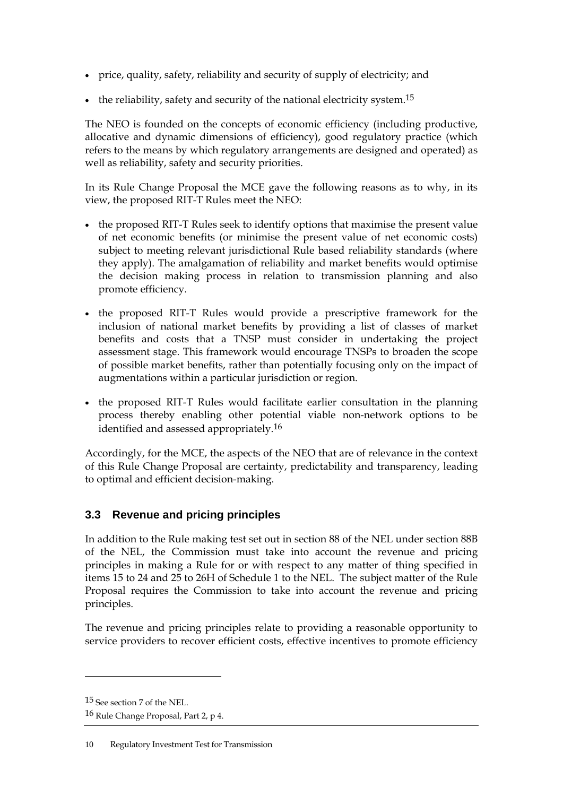- price, quality, safety, reliability and security of supply of electricity; and
- the reliability, safety and security of the national electricity system.<sup>15</sup>

The NEO is founded on the concepts of economic efficiency (including productive, allocative and dynamic dimensions of efficiency), good regulatory practice (which refers to the means by which regulatory arrangements are designed and operated) as well as reliability, safety and security priorities.

In its Rule Change Proposal the MCE gave the following reasons as to why, in its view, the proposed RIT-T Rules meet the NEO:

- the proposed RIT-T Rules seek to identify options that maximise the present value of net economic benefits (or minimise the present value of net economic costs) subject to meeting relevant jurisdictional Rule based reliability standards (where they apply). The amalgamation of reliability and market benefits would optimise the decision making process in relation to transmission planning and also promote efficiency.
- the proposed RIT-T Rules would provide a prescriptive framework for the inclusion of national market benefits by providing a list of classes of market benefits and costs that a TNSP must consider in undertaking the project assessment stage. This framework would encourage TNSPs to broaden the scope of possible market benefits, rather than potentially focusing only on the impact of augmentations within a particular jurisdiction or region.
- the proposed RIT-T Rules would facilitate earlier consultation in the planning process thereby enabling other potential viable non-network options to be identified and assessed appropriately.16

Accordingly, for the MCE, the aspects of the NEO that are of relevance in the context of this Rule Change Proposal are certainty, predictability and transparency, leading to optimal and efficient decision-making.

### **3.3 Revenue and pricing principles**

In addition to the Rule making test set out in section 88 of the NEL under section 88B of the NEL, the Commission must take into account the revenue and pricing principles in making a Rule for or with respect to any matter of thing specified in items 15 to 24 and 25 to 26H of Schedule 1 to the NEL. The subject matter of the Rule Proposal requires the Commission to take into account the revenue and pricing principles.

The revenue and pricing principles relate to providing a reasonable opportunity to service providers to recover efficient costs, effective incentives to promote efficiency

<u>.</u>

<sup>15</sup> See section 7 of the NEL.

<sup>16</sup> Rule Change Proposal, Part 2, p 4.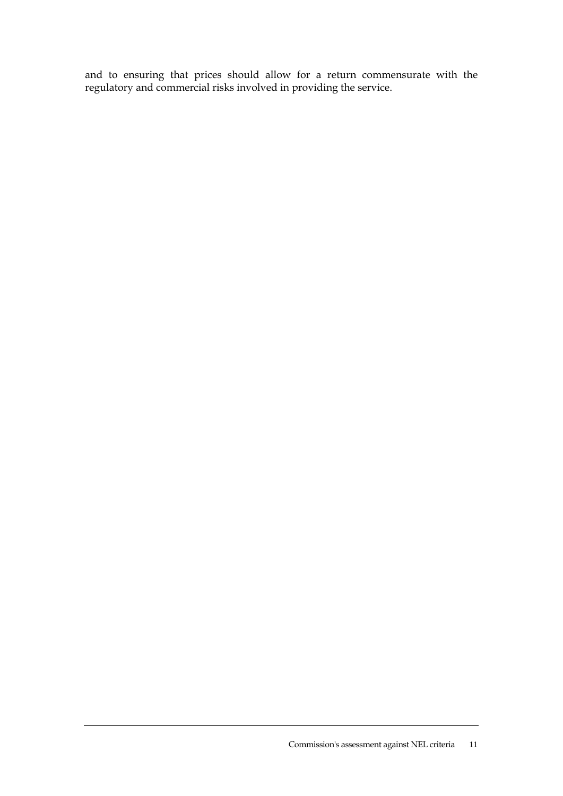and to ensuring that prices should allow for a return commensurate with the regulatory and commercial risks involved in providing the service.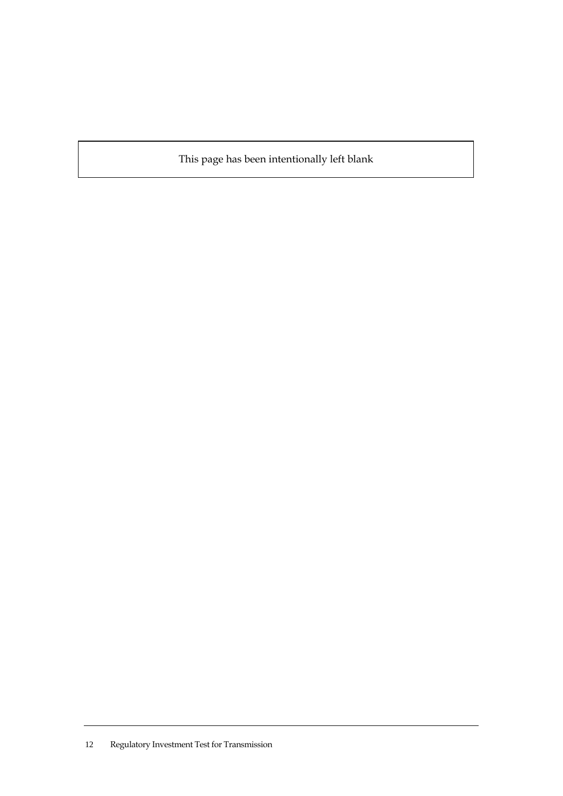This page has been intentionally left blank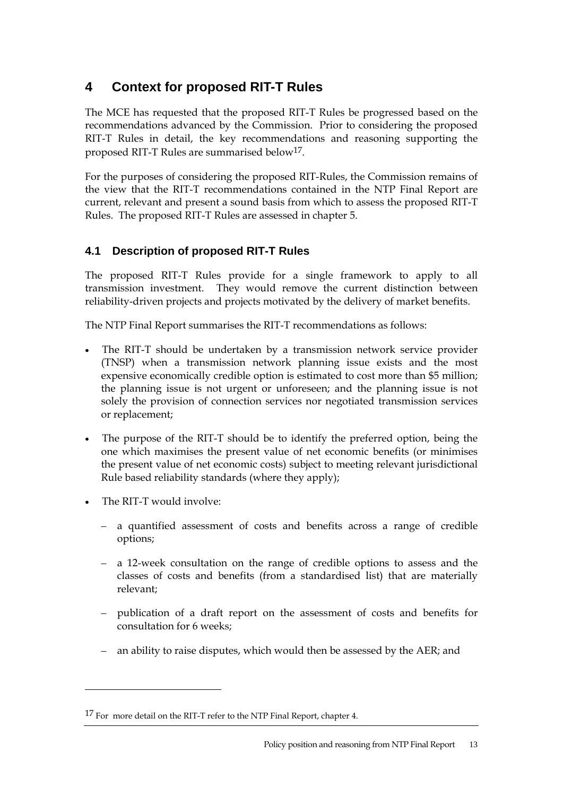# **4 Context for proposed RIT-T Rules**

The MCE has requested that the proposed RIT-T Rules be progressed based on the recommendations advanced by the Commission. Prior to considering the proposed RIT-T Rules in detail, the key recommendations and reasoning supporting the proposed RIT-T Rules are summarised below17.

For the purposes of considering the proposed RIT-Rules, the Commission remains of the view that the RIT-T recommendations contained in the NTP Final Report are current, relevant and present a sound basis from which to assess the proposed RIT-T Rules. The proposed RIT-T Rules are assessed in chapter 5.

# **4.1 Description of proposed RIT-T Rules**

The proposed RIT-T Rules provide for a single framework to apply to all transmission investment. They would remove the current distinction between reliability-driven projects and projects motivated by the delivery of market benefits.

The NTP Final Report summarises the RIT-T recommendations as follows:

- The RIT-T should be undertaken by a transmission network service provider (TNSP) when a transmission network planning issue exists and the most expensive economically credible option is estimated to cost more than \$5 million; the planning issue is not urgent or unforeseen; and the planning issue is not solely the provision of connection services nor negotiated transmission services or replacement;
- The purpose of the RIT-T should be to identify the preferred option, being the one which maximises the present value of net economic benefits (or minimises the present value of net economic costs) subject to meeting relevant jurisdictional Rule based reliability standards (where they apply);
- The RIT-T would involve:

<u>.</u>

- a quantified assessment of costs and benefits across a range of credible options;
- a 12-week consultation on the range of credible options to assess and the classes of costs and benefits (from a standardised list) that are materially relevant;
- publication of a draft report on the assessment of costs and benefits for consultation for 6 weeks;
- an ability to raise disputes, which would then be assessed by the AER; and

<sup>&</sup>lt;sup>17</sup> For more detail on the RIT-T refer to the NTP Final Report, chapter 4.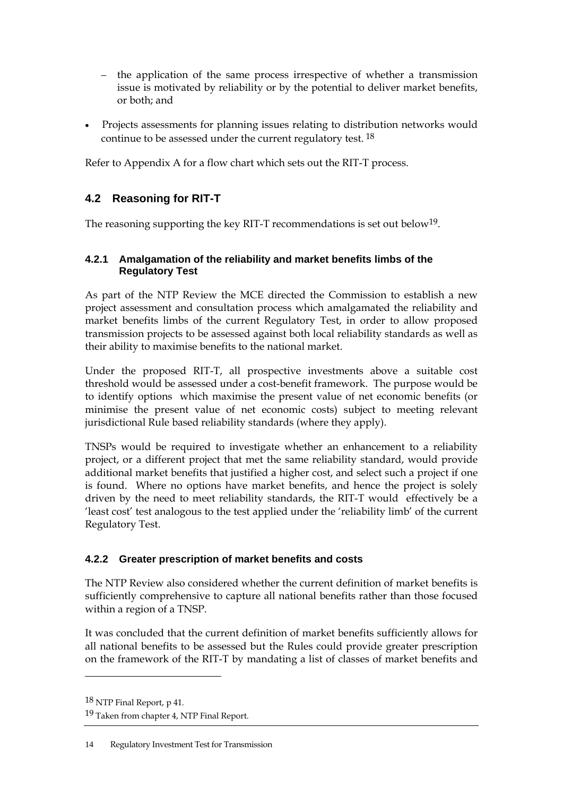- the application of the same process irrespective of whether a transmission issue is motivated by reliability or by the potential to deliver market benefits, or both; and
- Projects assessments for planning issues relating to distribution networks would continue to be assessed under the current regulatory test.  $18$

Refer to Appendix A for a flow chart which sets out the RIT-T process.

# **4.2 Reasoning for RIT-T**

The reasoning supporting the key RIT-T recommendations is set out below<sup>19</sup>.

#### **4.2.1 Amalgamation of the reliability and market benefits limbs of the Regulatory Test**

As part of the NTP Review the MCE directed the Commission to establish a new project assessment and consultation process which amalgamated the reliability and market benefits limbs of the current Regulatory Test, in order to allow proposed transmission projects to be assessed against both local reliability standards as well as their ability to maximise benefits to the national market.

Under the proposed RIT-T, all prospective investments above a suitable cost threshold would be assessed under a cost-benefit framework. The purpose would be to identify options which maximise the present value of net economic benefits (or minimise the present value of net economic costs) subject to meeting relevant jurisdictional Rule based reliability standards (where they apply).

TNSPs would be required to investigate whether an enhancement to a reliability project, or a different project that met the same reliability standard, would provide additional market benefits that justified a higher cost, and select such a project if one is found. Where no options have market benefits, and hence the project is solely driven by the need to meet reliability standards, the RIT-T would effectively be a 'least cost' test analogous to the test applied under the 'reliability limb' of the current Regulatory Test.

### **4.2.2 Greater prescription of market benefits and costs**

The NTP Review also considered whether the current definition of market benefits is sufficiently comprehensive to capture all national benefits rather than those focused within a region of a TNSP.

It was concluded that the current definition of market benefits sufficiently allows for all national benefits to be assessed but the Rules could provide greater prescription on the framework of the RIT-T by mandating a list of classes of market benefits and

<u>.</u>

<sup>18</sup> NTP Final Report, p 41.

<sup>19</sup> Taken from chapter 4, NTP Final Report.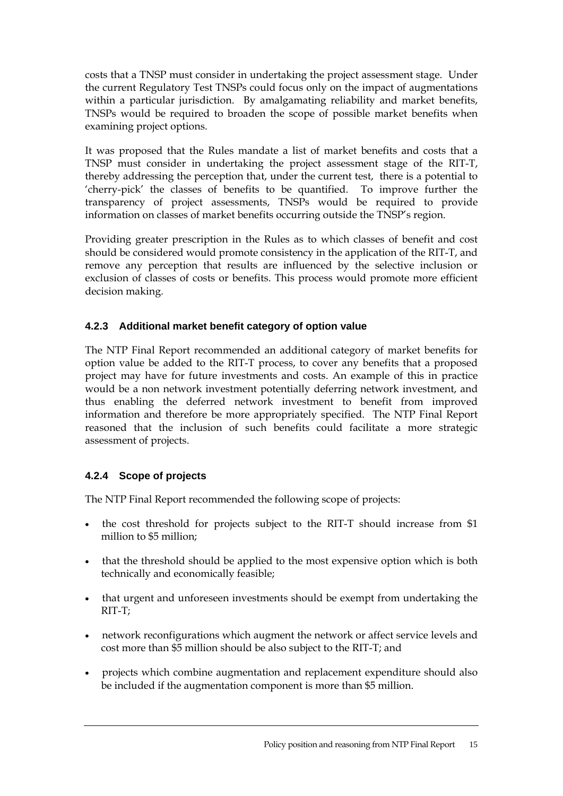costs that a TNSP must consider in undertaking the project assessment stage. Under the current Regulatory Test TNSPs could focus only on the impact of augmentations within a particular jurisdiction. By amalgamating reliability and market benefits, TNSPs would be required to broaden the scope of possible market benefits when examining project options.

It was proposed that the Rules mandate a list of market benefits and costs that a TNSP must consider in undertaking the project assessment stage of the RIT-T, thereby addressing the perception that, under the current test, there is a potential to 'cherry-pick' the classes of benefits to be quantified. To improve further the transparency of project assessments, TNSPs would be required to provide information on classes of market benefits occurring outside the TNSP's region.

Providing greater prescription in the Rules as to which classes of benefit and cost should be considered would promote consistency in the application of the RIT-T, and remove any perception that results are influenced by the selective inclusion or exclusion of classes of costs or benefits. This process would promote more efficient decision making.

### **4.2.3 Additional market benefit category of option value**

The NTP Final Report recommended an additional category of market benefits for option value be added to the RIT-T process, to cover any benefits that a proposed project may have for future investments and costs. An example of this in practice would be a non network investment potentially deferring network investment, and thus enabling the deferred network investment to benefit from improved information and therefore be more appropriately specified. The NTP Final Report reasoned that the inclusion of such benefits could facilitate a more strategic assessment of projects.

### **4.2.4 Scope of projects**

The NTP Final Report recommended the following scope of projects:

- the cost threshold for projects subject to the RIT-T should increase from \$1 million to \$5 million;
- that the threshold should be applied to the most expensive option which is both technically and economically feasible;
- that urgent and unforeseen investments should be exempt from undertaking the RIT-T;
- network reconfigurations which augment the network or affect service levels and cost more than \$5 million should be also subject to the RIT-T; and
- projects which combine augmentation and replacement expenditure should also be included if the augmentation component is more than \$5 million.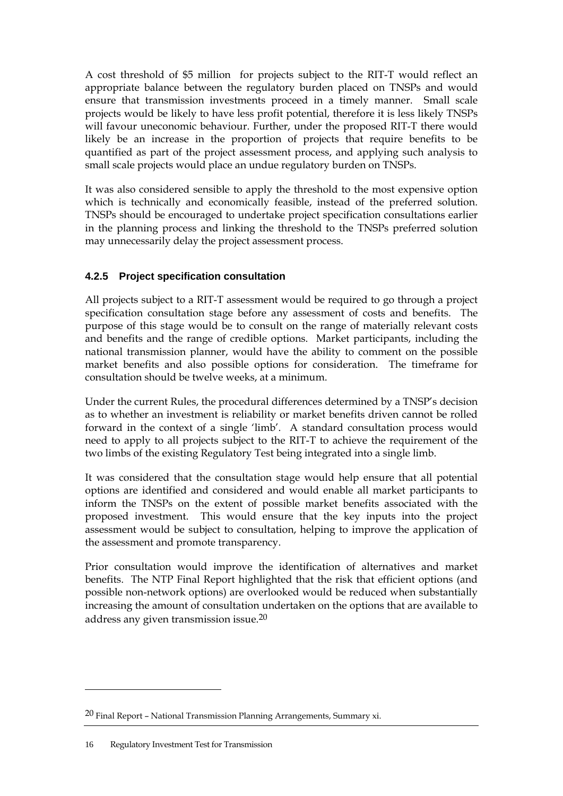A cost threshold of \$5 million for projects subject to the RIT-T would reflect an appropriate balance between the regulatory burden placed on TNSPs and would ensure that transmission investments proceed in a timely manner. Small scale projects would be likely to have less profit potential, therefore it is less likely TNSPs will favour uneconomic behaviour. Further, under the proposed RIT-T there would likely be an increase in the proportion of projects that require benefits to be quantified as part of the project assessment process, and applying such analysis to small scale projects would place an undue regulatory burden on TNSPs.

It was also considered sensible to apply the threshold to the most expensive option which is technically and economically feasible, instead of the preferred solution. TNSPs should be encouraged to undertake project specification consultations earlier in the planning process and linking the threshold to the TNSPs preferred solution may unnecessarily delay the project assessment process.

### **4.2.5 Project specification consultation**

All projects subject to a RIT-T assessment would be required to go through a project specification consultation stage before any assessment of costs and benefits. The purpose of this stage would be to consult on the range of materially relevant costs and benefits and the range of credible options. Market participants, including the national transmission planner, would have the ability to comment on the possible market benefits and also possible options for consideration. The timeframe for consultation should be twelve weeks, at a minimum.

Under the current Rules, the procedural differences determined by a TNSP's decision as to whether an investment is reliability or market benefits driven cannot be rolled forward in the context of a single 'limb'. A standard consultation process would need to apply to all projects subject to the RIT-T to achieve the requirement of the two limbs of the existing Regulatory Test being integrated into a single limb.

It was considered that the consultation stage would help ensure that all potential options are identified and considered and would enable all market participants to inform the TNSPs on the extent of possible market benefits associated with the proposed investment. This would ensure that the key inputs into the project assessment would be subject to consultation, helping to improve the application of the assessment and promote transparency.

Prior consultation would improve the identification of alternatives and market benefits. The NTP Final Report highlighted that the risk that efficient options (and possible non-network options) are overlooked would be reduced when substantially increasing the amount of consultation undertaken on the options that are available to address any given transmission issue.20

<u>.</u>

 $20$  Final Report – National Transmission Planning Arrangements, Summary xi.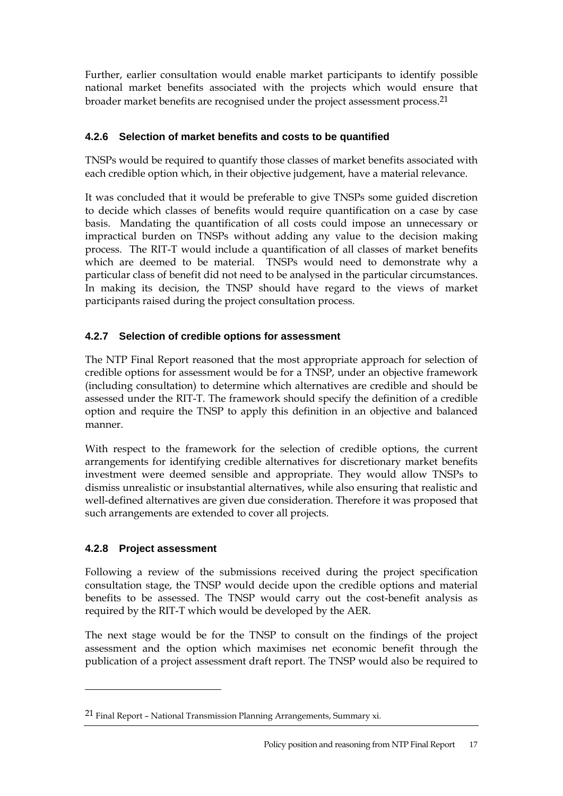Further, earlier consultation would enable market participants to identify possible national market benefits associated with the projects which would ensure that broader market benefits are recognised under the project assessment process.21

### **4.2.6 Selection of market benefits and costs to be quantified**

TNSPs would be required to quantify those classes of market benefits associated with each credible option which, in their objective judgement, have a material relevance.

It was concluded that it would be preferable to give TNSPs some guided discretion to decide which classes of benefits would require quantification on a case by case basis. Mandating the quantification of all costs could impose an unnecessary or impractical burden on TNSPs without adding any value to the decision making process. The RIT-T would include a quantification of all classes of market benefits which are deemed to be material. TNSPs would need to demonstrate why a particular class of benefit did not need to be analysed in the particular circumstances. In making its decision, the TNSP should have regard to the views of market participants raised during the project consultation process.

### **4.2.7 Selection of credible options for assessment**

The NTP Final Report reasoned that the most appropriate approach for selection of credible options for assessment would be for a TNSP, under an objective framework (including consultation) to determine which alternatives are credible and should be assessed under the RIT-T. The framework should specify the definition of a credible option and require the TNSP to apply this definition in an objective and balanced manner.

With respect to the framework for the selection of credible options, the current arrangements for identifying credible alternatives for discretionary market benefits investment were deemed sensible and appropriate. They would allow TNSPs to dismiss unrealistic or insubstantial alternatives, while also ensuring that realistic and well-defined alternatives are given due consideration. Therefore it was proposed that such arrangements are extended to cover all projects.

### **4.2.8 Project assessment**

<u>.</u>

Following a review of the submissions received during the project specification consultation stage, the TNSP would decide upon the credible options and material benefits to be assessed. The TNSP would carry out the cost-benefit analysis as required by the RIT-T which would be developed by the AER.

The next stage would be for the TNSP to consult on the findings of the project assessment and the option which maximises net economic benefit through the publication of a project assessment draft report. The TNSP would also be required to

<sup>21</sup> Final Report – National Transmission Planning Arrangements, Summary xi.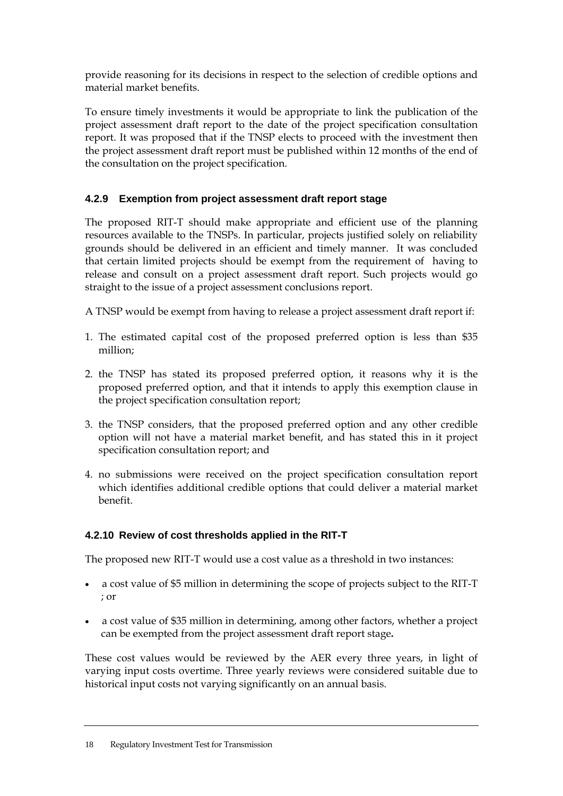provide reasoning for its decisions in respect to the selection of credible options and material market benefits.

To ensure timely investments it would be appropriate to link the publication of the project assessment draft report to the date of the project specification consultation report. It was proposed that if the TNSP elects to proceed with the investment then the project assessment draft report must be published within 12 months of the end of the consultation on the project specification.

### **4.2.9 Exemption from project assessment draft report stage**

The proposed RIT-T should make appropriate and efficient use of the planning resources available to the TNSPs. In particular, projects justified solely on reliability grounds should be delivered in an efficient and timely manner. It was concluded that certain limited projects should be exempt from the requirement of having to release and consult on a project assessment draft report. Such projects would go straight to the issue of a project assessment conclusions report.

A TNSP would be exempt from having to release a project assessment draft report if:

- 1. The estimated capital cost of the proposed preferred option is less than \$35 million;
- 2. the TNSP has stated its proposed preferred option, it reasons why it is the proposed preferred option, and that it intends to apply this exemption clause in the project specification consultation report;
- 3. the TNSP considers, that the proposed preferred option and any other credible option will not have a material market benefit, and has stated this in it project specification consultation report; and
- 4. no submissions were received on the project specification consultation report which identifies additional credible options that could deliver a material market benefit.

### **4.2.10 Review of cost thresholds applied in the RIT-T**

The proposed new RIT-T would use a cost value as a threshold in two instances:

- a cost value of \$5 million in determining the scope of projects subject to the RIT-T ; or
- a cost value of \$35 million in determining, among other factors, whether a project can be exempted from the project assessment draft report stage**.**

These cost values would be reviewed by the AER every three years, in light of varying input costs overtime. Three yearly reviews were considered suitable due to historical input costs not varying significantly on an annual basis.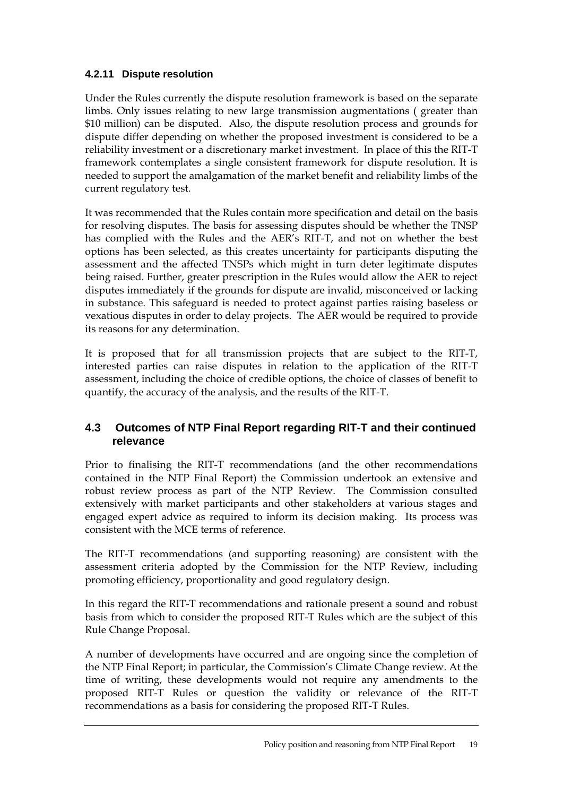### **4.2.11 Dispute resolution**

Under the Rules currently the dispute resolution framework is based on the separate limbs. Only issues relating to new large transmission augmentations ( greater than \$10 million) can be disputed. Also, the dispute resolution process and grounds for dispute differ depending on whether the proposed investment is considered to be a reliability investment or a discretionary market investment. In place of this the RIT-T framework contemplates a single consistent framework for dispute resolution. It is needed to support the amalgamation of the market benefit and reliability limbs of the current regulatory test.

It was recommended that the Rules contain more specification and detail on the basis for resolving disputes. The basis for assessing disputes should be whether the TNSP has complied with the Rules and the AER's RIT-T, and not on whether the best options has been selected, as this creates uncertainty for participants disputing the assessment and the affected TNSPs which might in turn deter legitimate disputes being raised. Further, greater prescription in the Rules would allow the AER to reject disputes immediately if the grounds for dispute are invalid, misconceived or lacking in substance. This safeguard is needed to protect against parties raising baseless or vexatious disputes in order to delay projects. The AER would be required to provide its reasons for any determination.

It is proposed that for all transmission projects that are subject to the RIT-T, interested parties can raise disputes in relation to the application of the RIT-T assessment, including the choice of credible options, the choice of classes of benefit to quantify, the accuracy of the analysis, and the results of the RIT-T.

### **4.3 Outcomes of NTP Final Report regarding RIT-T and their continued relevance**

Prior to finalising the RIT-T recommendations (and the other recommendations contained in the NTP Final Report) the Commission undertook an extensive and robust review process as part of the NTP Review. The Commission consulted extensively with market participants and other stakeholders at various stages and engaged expert advice as required to inform its decision making. Its process was consistent with the MCE terms of reference.

The RIT-T recommendations (and supporting reasoning) are consistent with the assessment criteria adopted by the Commission for the NTP Review, including promoting efficiency, proportionality and good regulatory design.

In this regard the RIT-T recommendations and rationale present a sound and robust basis from which to consider the proposed RIT-T Rules which are the subject of this Rule Change Proposal.

A number of developments have occurred and are ongoing since the completion of the NTP Final Report; in particular, the Commission's Climate Change review. At the time of writing, these developments would not require any amendments to the proposed RIT-T Rules or question the validity or relevance of the RIT-T recommendations as a basis for considering the proposed RIT-T Rules.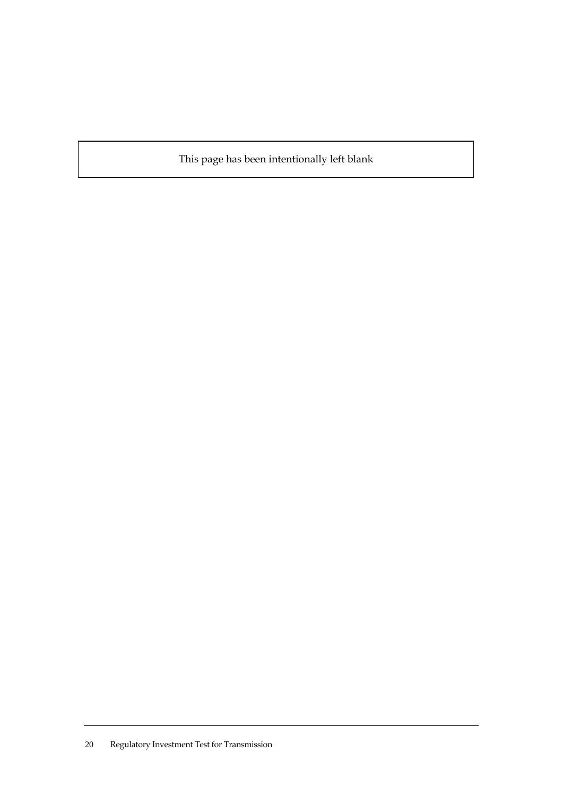This page has been intentionally left blank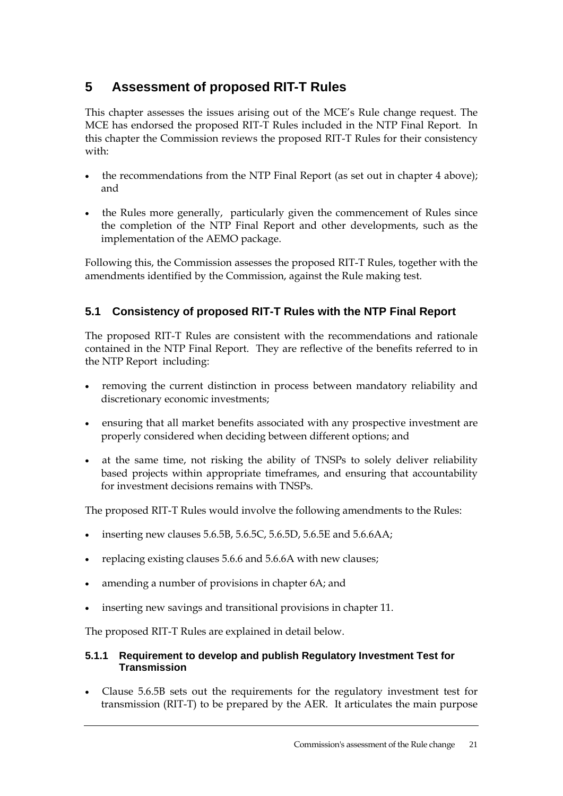# **5 Assessment of proposed RIT-T Rules**

This chapter assesses the issues arising out of the MCE's Rule change request. The MCE has endorsed the proposed RIT-T Rules included in the NTP Final Report. In this chapter the Commission reviews the proposed RIT-T Rules for their consistency with:

- the recommendations from the NTP Final Report (as set out in chapter 4 above); and
- the Rules more generally, particularly given the commencement of Rules since the completion of the NTP Final Report and other developments, such as the implementation of the AEMO package.

Following this, the Commission assesses the proposed RIT-T Rules, together with the amendments identified by the Commission, against the Rule making test.

### **5.1 Consistency of proposed RIT-T Rules with the NTP Final Report**

The proposed RIT-T Rules are consistent with the recommendations and rationale contained in the NTP Final Report. They are reflective of the benefits referred to in the NTP Report including:

- removing the current distinction in process between mandatory reliability and discretionary economic investments;
- ensuring that all market benefits associated with any prospective investment are properly considered when deciding between different options; and
- at the same time, not risking the ability of TNSPs to solely deliver reliability based projects within appropriate timeframes, and ensuring that accountability for investment decisions remains with TNSPs.

The proposed RIT-T Rules would involve the following amendments to the Rules:

- inserting new clauses  $5.6.5B$ ,  $5.6.5C$ ,  $5.6.5D$ ,  $5.6.5E$  and  $5.6.6AA$ ;
- replacing existing clauses 5.6.6 and 5.6.6A with new clauses;
- amending a number of provisions in chapter 6A; and
- inserting new savings and transitional provisions in chapter 11.

The proposed RIT-T Rules are explained in detail below.

#### **5.1.1 Requirement to develop and publish Regulatory Investment Test for Transmission**

• Clause 5.6.5B sets out the requirements for the regulatory investment test for transmission (RIT-T) to be prepared by the AER. It articulates the main purpose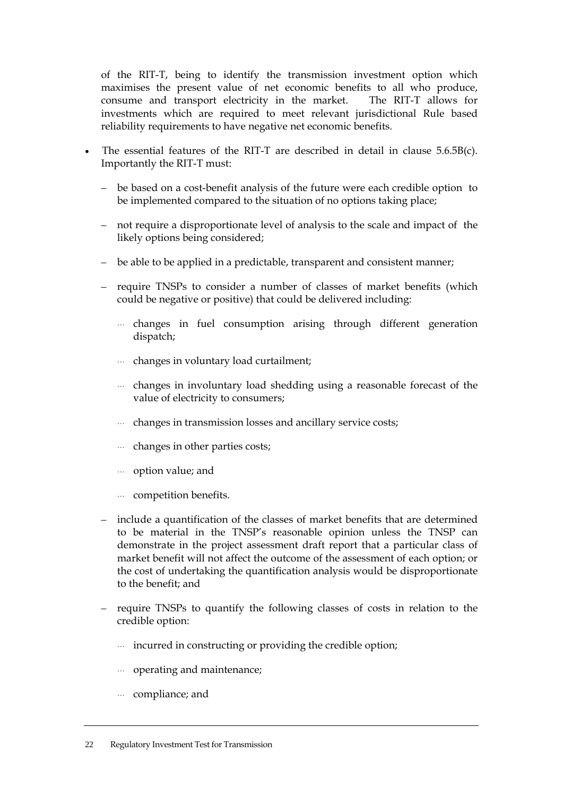of the RIT-T, being to identify the transmission investment option which maximises the present value of net economic benefits to all who produce, consume and transport electricity in the market. The RIT-T allows for investments which are required to meet relevant jurisdictional Rule based reliability requirements to have negative net economic benefits.

- The essential features of the RIT-T are described in detail in clause 5.6.5B(c). Importantly the RIT-T must:
	- be based on a cost-benefit analysis of the future were each credible option to be implemented compared to the situation of no options taking place;
	- not require a disproportionate level of analysis to the scale and impact of the likely options being considered;
	- be able to be applied in a predictable, transparent and consistent manner;
	- require TNSPs to consider a number of classes of market benefits (which could be negative or positive) that could be delivered including:
		- ... changes in fuel consumption arising through different generation dispatch;
		- ... changes in voluntary load curtailment;
		- ... changes in involuntary load shedding using a reasonable forecast of the value of electricity to consumers;
		- ... changes in transmission losses and ancillary service costs;
		- ... changes in other parties costs;
		- ... option value; and
		- ... competition benefits.
	- include a quantification of the classes of market benefits that are determined to be material in the TNSP's reasonable opinion unless the TNSP can demonstrate in the project assessment draft report that a particular class of market benefit will not affect the outcome of the assessment of each option; or the cost of undertaking the quantification analysis would be disproportionate to the benefit; and
	- require TNSPs to quantify the following classes of costs in relation to the credible option:
		- ... incurred in constructing or providing the credible option;
		- ... operating and maintenance;
		- $\cdots$  compliance; and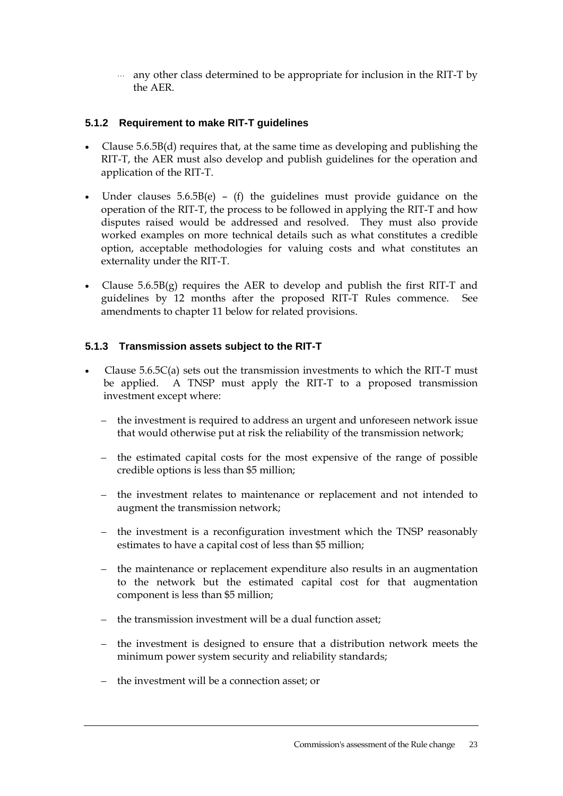$\ldots$  any other class determined to be appropriate for inclusion in the RIT-T by the AER.

### **5.1.2 Requirement to make RIT-T guidelines**

- Clause 5.6.5B(d) requires that, at the same time as developing and publishing the RIT-T, the AER must also develop and publish guidelines for the operation and application of the RIT-T.
- Under clauses 5.6.5B(e) (f) the guidelines must provide guidance on the operation of the RIT-T, the process to be followed in applying the RIT-T and how disputes raised would be addressed and resolved. They must also provide worked examples on more technical details such as what constitutes a credible option, acceptable methodologies for valuing costs and what constitutes an externality under the RIT-T.
- Clause 5.6.5B(g) requires the AER to develop and publish the first RIT-T and guidelines by 12 months after the proposed RIT-T Rules commence. See amendments to chapter 11 below for related provisions.

### **5.1.3 Transmission assets subject to the RIT-T**

- Clause 5.6.5C(a) sets out the transmission investments to which the RIT-T must be applied. A TNSP must apply the RIT-T to a proposed transmission investment except where:
	- the investment is required to address an urgent and unforeseen network issue that would otherwise put at risk the reliability of the transmission network;
	- the estimated capital costs for the most expensive of the range of possible credible options is less than \$5 million;
	- the investment relates to maintenance or replacement and not intended to augment the transmission network;
	- the investment is a reconfiguration investment which the TNSP reasonably estimates to have a capital cost of less than \$5 million;
	- the maintenance or replacement expenditure also results in an augmentation to the network but the estimated capital cost for that augmentation component is less than \$5 million;
	- the transmission investment will be a dual function asset;
	- the investment is designed to ensure that a distribution network meets the minimum power system security and reliability standards;
	- the investment will be a connection asset; or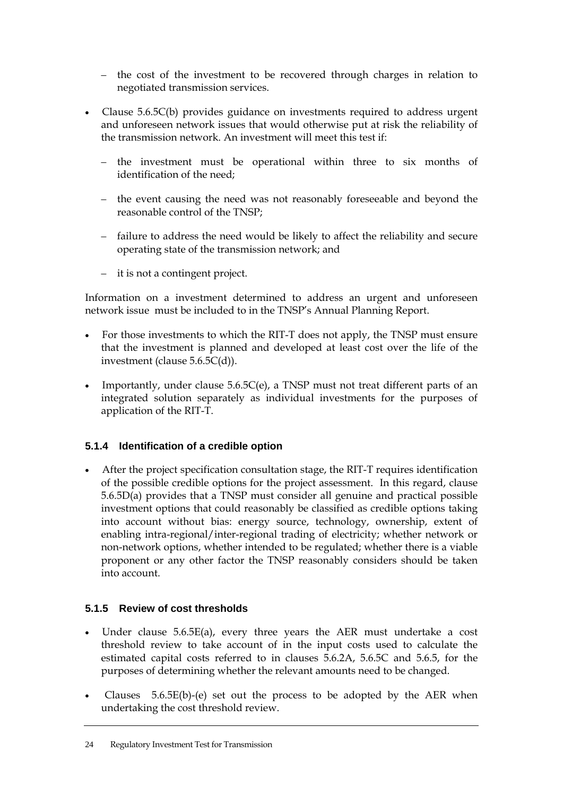- the cost of the investment to be recovered through charges in relation to negotiated transmission services.
- Clause 5.6.5C(b) provides guidance on investments required to address urgent and unforeseen network issues that would otherwise put at risk the reliability of the transmission network. An investment will meet this test if:
	- the investment must be operational within three to six months of identification of the need;
	- the event causing the need was not reasonably foreseeable and beyond the reasonable control of the TNSP;
	- failure to address the need would be likely to affect the reliability and secure operating state of the transmission network; and
	- it is not a contingent project.

Information on a investment determined to address an urgent and unforeseen network issue must be included to in the TNSP's Annual Planning Report.

- For those investments to which the RIT-T does not apply, the TNSP must ensure that the investment is planned and developed at least cost over the life of the investment (clause 5.6.5C(d)).
- Importantly, under clause 5.6.5C(e), a TNSP must not treat different parts of an integrated solution separately as individual investments for the purposes of application of the RIT-T.

### **5.1.4 Identification of a credible option**

• After the project specification consultation stage, the RIT-T requires identification of the possible credible options for the project assessment. In this regard, clause 5.6.5D(a) provides that a TNSP must consider all genuine and practical possible investment options that could reasonably be classified as credible options taking into account without bias: energy source, technology, ownership, extent of enabling intra-regional/inter-regional trading of electricity; whether network or non-network options, whether intended to be regulated; whether there is a viable proponent or any other factor the TNSP reasonably considers should be taken into account.

### **5.1.5 Review of cost thresholds**

- Under clause 5.6.5E(a), every three years the AER must undertake a cost threshold review to take account of in the input costs used to calculate the estimated capital costs referred to in clauses 5.6.2A, 5.6.5C and 5.6.5, for the purposes of determining whether the relevant amounts need to be changed.
- Clauses 5.6.5E(b)-(e) set out the process to be adopted by the AER when undertaking the cost threshold review.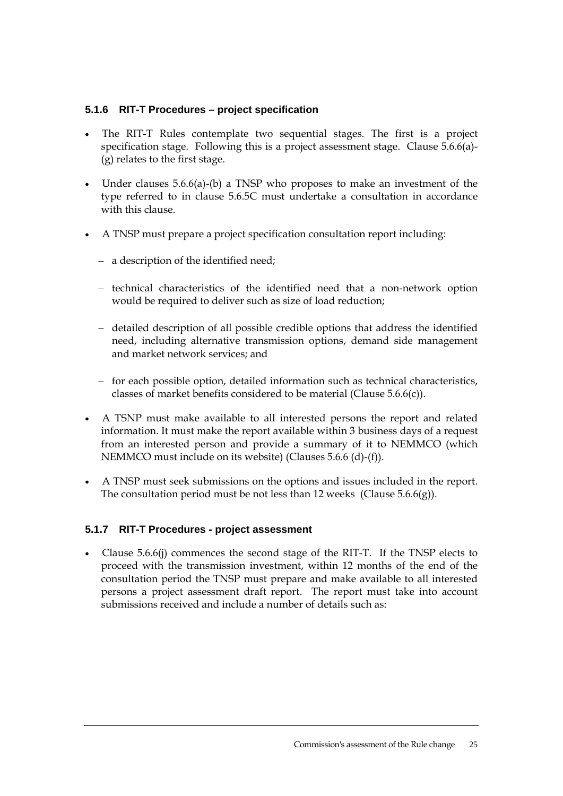#### **5.1.6 RIT-T Procedures – project specification**

- The RIT-T Rules contemplate two sequential stages. The first is a project specification stage. Following this is a project assessment stage. Clause 5.6.6(a)- (g) relates to the first stage.
- Under clauses 5.6.6(a)-(b) a TNSP who proposes to make an investment of the type referred to in clause 5.6.5C must undertake a consultation in accordance with this clause.
- A TNSP must prepare a project specification consultation report including:
	- a description of the identified need;
	- technical characteristics of the identified need that a non-network option would be required to deliver such as size of load reduction;
	- detailed description of all possible credible options that address the identified need, including alternative transmission options, demand side management and market network services; and
	- for each possible option, detailed information such as technical characteristics, classes of market benefits considered to be material (Clause 5.6.6(c)).
- A TSNP must make available to all interested persons the report and related information. It must make the report available within 3 business days of a request from an interested person and provide a summary of it to NEMMCO (which NEMMCO must include on its website) (Clauses 5.6.6 (d)-(f)).
- A TNSP must seek submissions on the options and issues included in the report. The consultation period must be not less than 12 weeks (Clause 5.6.6(g)).

#### **5.1.7 RIT-T Procedures - project assessment**

• Clause 5.6.6(j) commences the second stage of the RIT-T. If the TNSP elects to proceed with the transmission investment, within 12 months of the end of the consultation period the TNSP must prepare and make available to all interested persons a project assessment draft report. The report must take into account submissions received and include a number of details such as: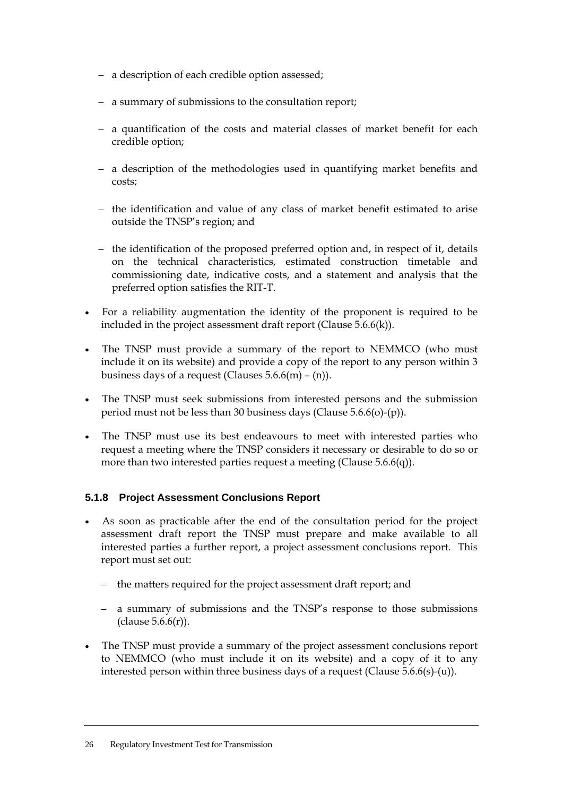- a description of each credible option assessed;
- a summary of submissions to the consultation report;
- a quantification of the costs and material classes of market benefit for each credible option;
- a description of the methodologies used in quantifying market benefits and costs;
- the identification and value of any class of market benefit estimated to arise outside the TNSP's region; and
- the identification of the proposed preferred option and, in respect of it, details on the technical characteristics, estimated construction timetable and commissioning date, indicative costs, and a statement and analysis that the preferred option satisfies the RIT-T.
- For a reliability augmentation the identity of the proponent is required to be included in the project assessment draft report (Clause 5.6.6(k)).
- The TNSP must provide a summary of the report to NEMMCO (who must include it on its website) and provide a copy of the report to any person within 3 business days of a request (Clauses  $5.6.6(m) - (n)$ ).
- The TNSP must seek submissions from interested persons and the submission period must not be less than 30 business days (Clause 5.6.6(o)-(p)).
- The TNSP must use its best endeavours to meet with interested parties who request a meeting where the TNSP considers it necessary or desirable to do so or more than two interested parties request a meeting (Clause 5.6.6(q)).

#### **5.1.8 Project Assessment Conclusions Report**

- As soon as practicable after the end of the consultation period for the project assessment draft report the TNSP must prepare and make available to all interested parties a further report, a project assessment conclusions report. This report must set out:
	- the matters required for the project assessment draft report; and
	- a summary of submissions and the TNSP's response to those submissions (clause 5.6.6(r)).
- The TNSP must provide a summary of the project assessment conclusions report to NEMMCO (who must include it on its website) and a copy of it to any interested person within three business days of a request (Clause  $5.6.6(s)-(u)$ ).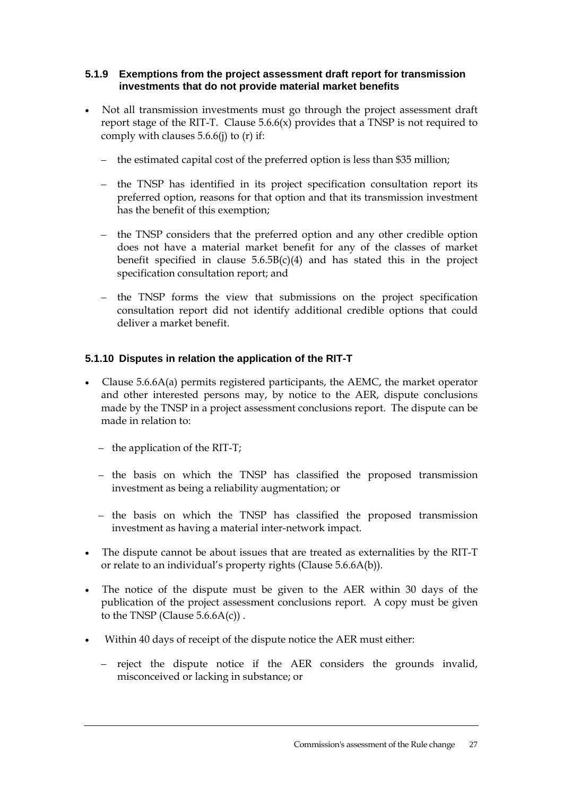#### **5.1.9 Exemptions from the project assessment draft report for transmission investments that do not provide material market benefits**

- Not all transmission investments must go through the project assessment draft report stage of the RIT-T. Clause  $5.6.6(x)$  provides that a TNSP is not required to comply with clauses 5.6.6(j) to (r) if:
	- the estimated capital cost of the preferred option is less than \$35 million;
	- the TNSP has identified in its project specification consultation report its preferred option, reasons for that option and that its transmission investment has the benefit of this exemption;
	- the TNSP considers that the preferred option and any other credible option does not have a material market benefit for any of the classes of market benefit specified in clause 5.6.5B(c)(4) and has stated this in the project specification consultation report; and
	- the TNSP forms the view that submissions on the project specification consultation report did not identify additional credible options that could deliver a market benefit.

### **5.1.10 Disputes in relation the application of the RIT-T**

- Clause 5.6.6A(a) permits registered participants, the AEMC, the market operator and other interested persons may, by notice to the AER, dispute conclusions made by the TNSP in a project assessment conclusions report. The dispute can be made in relation to:
	- the application of the RIT-T;
	- the basis on which the TNSP has classified the proposed transmission investment as being a reliability augmentation; or
	- the basis on which the TNSP has classified the proposed transmission investment as having a material inter-network impact.
- The dispute cannot be about issues that are treated as externalities by the RIT-T or relate to an individual's property rights (Clause 5.6.6A(b)).
- The notice of the dispute must be given to the AER within 30 days of the publication of the project assessment conclusions report. A copy must be given to the TNSP (Clause  $5.6.6A(c)$ ).
- Within 40 days of receipt of the dispute notice the AER must either:
	- reject the dispute notice if the AER considers the grounds invalid, misconceived or lacking in substance; or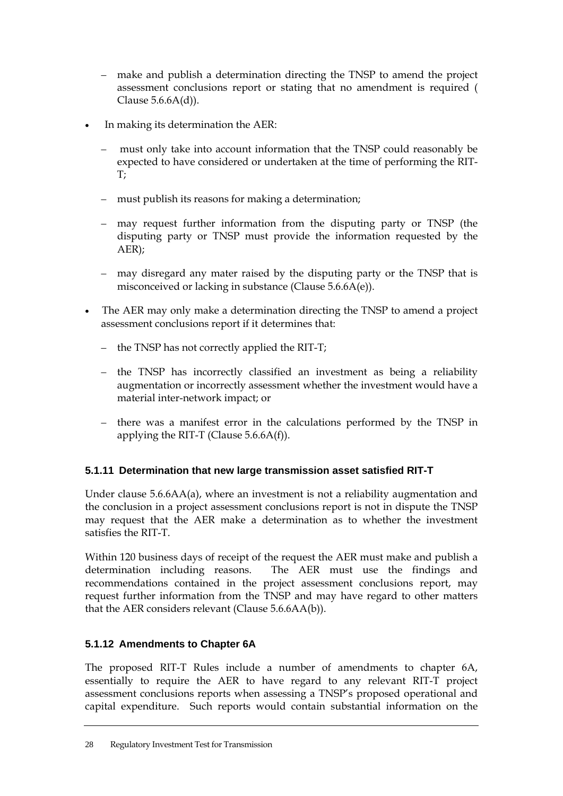- make and publish a determination directing the TNSP to amend the project assessment conclusions report or stating that no amendment is required ( Clause 5.6.6A(d)).
- In making its determination the AER:
	- must only take into account information that the TNSP could reasonably be expected to have considered or undertaken at the time of performing the RIT-T;
	- must publish its reasons for making a determination;
	- may request further information from the disputing party or TNSP (the disputing party or TNSP must provide the information requested by the AER);
	- may disregard any mater raised by the disputing party or the TNSP that is misconceived or lacking in substance (Clause 5.6.6A(e)).
- The AER may only make a determination directing the TNSP to amend a project assessment conclusions report if it determines that:
	- the TNSP has not correctly applied the RIT-T;
	- the TNSP has incorrectly classified an investment as being a reliability augmentation or incorrectly assessment whether the investment would have a material inter-network impact; or
	- there was a manifest error in the calculations performed by the TNSP in applying the RIT-T (Clause 5.6.6A(f)).

### **5.1.11 Determination that new large transmission asset satisfied RIT-T**

Under clause 5.6.6AA(a), where an investment is not a reliability augmentation and the conclusion in a project assessment conclusions report is not in dispute the TNSP may request that the AER make a determination as to whether the investment satisfies the RIT-T.

Within 120 business days of receipt of the request the AER must make and publish a determination including reasons. The AER must use the findings and recommendations contained in the project assessment conclusions report, may request further information from the TNSP and may have regard to other matters that the AER considers relevant (Clause 5.6.6AA(b)).

### **5.1.12 Amendments to Chapter 6A**

The proposed RIT-T Rules include a number of amendments to chapter 6A, essentially to require the AER to have regard to any relevant RIT-T project assessment conclusions reports when assessing a TNSP's proposed operational and capital expenditure. Such reports would contain substantial information on the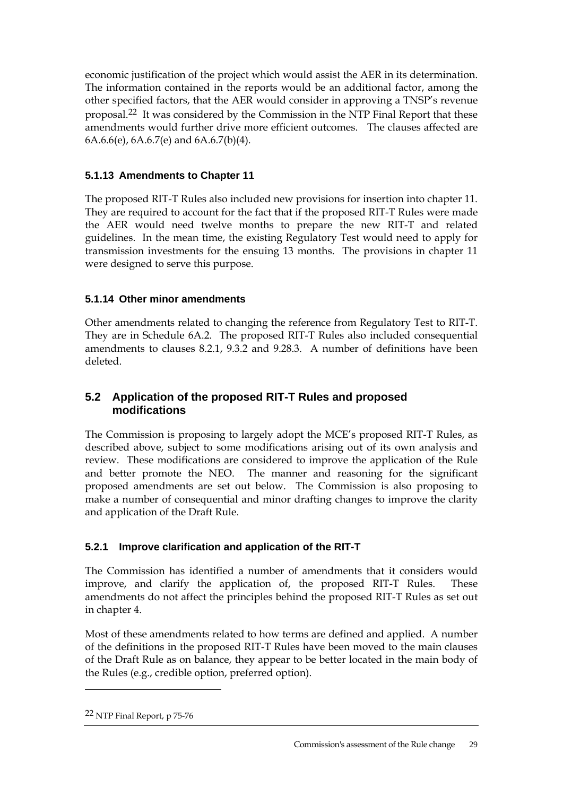economic justification of the project which would assist the AER in its determination. The information contained in the reports would be an additional factor, among the other specified factors, that the AER would consider in approving a TNSP's revenue proposal.22 It was considered by the Commission in the NTP Final Report that these amendments would further drive more efficient outcomes. The clauses affected are  $6A.6.6(e)$ ,  $6A.6.7(e)$  and  $6A.6.7(b)(4)$ .

### **5.1.13 Amendments to Chapter 11**

The proposed RIT-T Rules also included new provisions for insertion into chapter 11. They are required to account for the fact that if the proposed RIT-T Rules were made the AER would need twelve months to prepare the new RIT-T and related guidelines. In the mean time, the existing Regulatory Test would need to apply for transmission investments for the ensuing 13 months. The provisions in chapter 11 were designed to serve this purpose.

### **5.1.14 Other minor amendments**

Other amendments related to changing the reference from Regulatory Test to RIT-T. They are in Schedule 6A.2. The proposed RIT-T Rules also included consequential amendments to clauses 8.2.1, 9.3.2 and 9.28.3. A number of definitions have been deleted.

### **5.2 Application of the proposed RIT-T Rules and proposed modifications**

The Commission is proposing to largely adopt the MCE's proposed RIT-T Rules, as described above, subject to some modifications arising out of its own analysis and review. These modifications are considered to improve the application of the Rule and better promote the NEO. The manner and reasoning for the significant proposed amendments are set out below. The Commission is also proposing to make a number of consequential and minor drafting changes to improve the clarity and application of the Draft Rule.

# **5.2.1 Improve clarification and application of the RIT-T**

The Commission has identified a number of amendments that it considers would improve, and clarify the application of, the proposed RIT-T Rules. These amendments do not affect the principles behind the proposed RIT-T Rules as set out in chapter 4.

Most of these amendments related to how terms are defined and applied. A number of the definitions in the proposed RIT-T Rules have been moved to the main clauses of the Draft Rule as on balance, they appear to be better located in the main body of the Rules (e.g., credible option, preferred option).

<u>.</u>

<sup>22</sup> NTP Final Report, p 75-76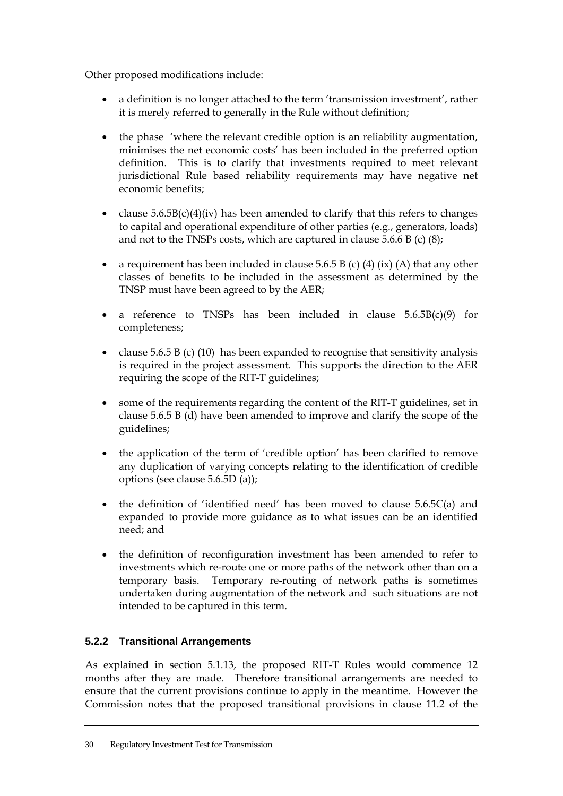Other proposed modifications include:

- a definition is no longer attached to the term 'transmission investment', rather it is merely referred to generally in the Rule without definition;
- the phase 'where the relevant credible option is an reliability augmentation, minimises the net economic costs' has been included in the preferred option definition. This is to clarify that investments required to meet relevant jurisdictional Rule based reliability requirements may have negative net economic benefits;
- clause  $5.6.5B(c)(4)(iv)$  has been amended to clarify that this refers to changes to capital and operational expenditure of other parties (e.g., generators, loads) and not to the TNSPs costs, which are captured in clause 5.6.6 B (c) (8);
- a requirement has been included in clause 5.6.5 B (c) (4) (ix) (A) that any other classes of benefits to be included in the assessment as determined by the TNSP must have been agreed to by the AER;
- a reference to TNSPs has been included in clause  $5.6.5B(c)(9)$  for completeness;
- clause 5.6.5 B (c) (10) has been expanded to recognise that sensitivity analysis is required in the project assessment. This supports the direction to the AER requiring the scope of the RIT-T guidelines;
- some of the requirements regarding the content of the RIT-T guidelines, set in clause 5.6.5 B (d) have been amended to improve and clarify the scope of the guidelines;
- the application of the term of 'credible option' has been clarified to remove any duplication of varying concepts relating to the identification of credible options (see clause 5.6.5D (a));
- the definition of 'identified need' has been moved to clause  $5.6.5C(a)$  and expanded to provide more guidance as to what issues can be an identified need; and
- the definition of reconfiguration investment has been amended to refer to investments which re-route one or more paths of the network other than on a temporary basis. Temporary re-routing of network paths is sometimes undertaken during augmentation of the network and such situations are not intended to be captured in this term.

### **5.2.2 Transitional Arrangements**

As explained in section 5.1.13, the proposed RIT-T Rules would commence 12 months after they are made. Therefore transitional arrangements are needed to ensure that the current provisions continue to apply in the meantime. However the Commission notes that the proposed transitional provisions in clause 11.2 of the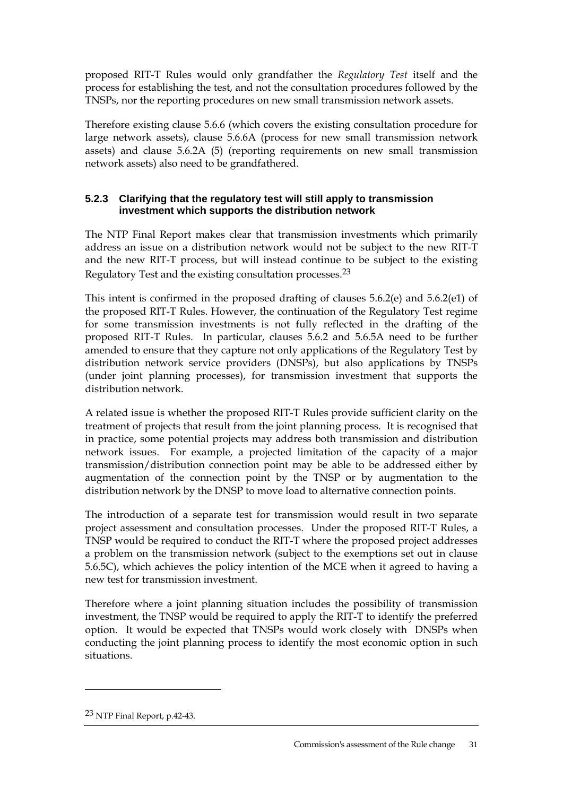proposed RIT-T Rules would only grandfather the *Regulatory Test* itself and the process for establishing the test, and not the consultation procedures followed by the TNSPs, nor the reporting procedures on new small transmission network assets.

Therefore existing clause 5.6.6 (which covers the existing consultation procedure for large network assets), clause 5.6.6A (process for new small transmission network assets) and clause 5.6.2A (5) (reporting requirements on new small transmission network assets) also need to be grandfathered.

### **5.2.3 Clarifying that the regulatory test will still apply to transmission investment which supports the distribution network**

The NTP Final Report makes clear that transmission investments which primarily address an issue on a distribution network would not be subject to the new RIT-T and the new RIT-T process, but will instead continue to be subject to the existing Regulatory Test and the existing consultation processes.23

This intent is confirmed in the proposed drafting of clauses 5.6.2(e) and 5.6.2(e1) of the proposed RIT-T Rules. However, the continuation of the Regulatory Test regime for some transmission investments is not fully reflected in the drafting of the proposed RIT-T Rules. In particular, clauses 5.6.2 and 5.6.5A need to be further amended to ensure that they capture not only applications of the Regulatory Test by distribution network service providers (DNSPs), but also applications by TNSPs (under joint planning processes), for transmission investment that supports the distribution network.

A related issue is whether the proposed RIT-T Rules provide sufficient clarity on the treatment of projects that result from the joint planning process. It is recognised that in practice, some potential projects may address both transmission and distribution network issues. For example, a projected limitation of the capacity of a major transmission/distribution connection point may be able to be addressed either by augmentation of the connection point by the TNSP or by augmentation to the distribution network by the DNSP to move load to alternative connection points.

The introduction of a separate test for transmission would result in two separate project assessment and consultation processes. Under the proposed RIT-T Rules, a TNSP would be required to conduct the RIT-T where the proposed project addresses a problem on the transmission network (subject to the exemptions set out in clause 5.6.5C), which achieves the policy intention of the MCE when it agreed to having a new test for transmission investment.

Therefore where a joint planning situation includes the possibility of transmission investment, the TNSP would be required to apply the RIT-T to identify the preferred option. It would be expected that TNSPs would work closely with DNSPs when conducting the joint planning process to identify the most economic option in such situations.

<u>.</u>

<sup>23</sup> NTP Final Report, p.42-43.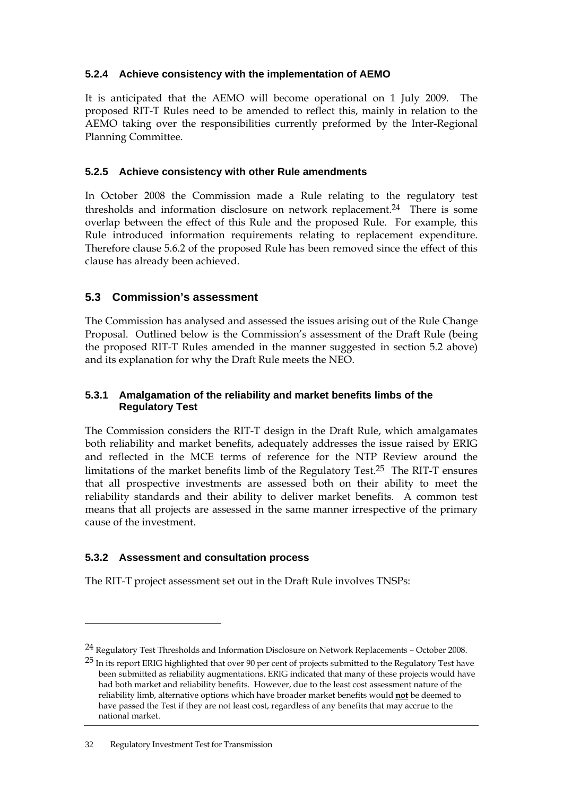### **5.2.4 Achieve consistency with the implementation of AEMO**

It is anticipated that the AEMO will become operational on 1 July 2009. The proposed RIT-T Rules need to be amended to reflect this, mainly in relation to the AEMO taking over the responsibilities currently preformed by the Inter-Regional Planning Committee.

### **5.2.5 Achieve consistency with other Rule amendments**

In October 2008 the Commission made a Rule relating to the regulatory test thresholds and information disclosure on network replacement.<sup>24</sup> There is some overlap between the effect of this Rule and the proposed Rule. For example, this Rule introduced information requirements relating to replacement expenditure. Therefore clause 5.6.2 of the proposed Rule has been removed since the effect of this clause has already been achieved.

### **5.3 Commission's assessment**

The Commission has analysed and assessed the issues arising out of the Rule Change Proposal. Outlined below is the Commission's assessment of the Draft Rule (being the proposed RIT-T Rules amended in the manner suggested in section 5.2 above) and its explanation for why the Draft Rule meets the NEO.

### **5.3.1 Amalgamation of the reliability and market benefits limbs of the Regulatory Test**

The Commission considers the RIT-T design in the Draft Rule, which amalgamates both reliability and market benefits, adequately addresses the issue raised by ERIG and reflected in the MCE terms of reference for the NTP Review around the limitations of the market benefits limb of the Regulatory Test.25 The RIT-T ensures that all prospective investments are assessed both on their ability to meet the reliability standards and their ability to deliver market benefits. A common test means that all projects are assessed in the same manner irrespective of the primary cause of the investment.

### **5.3.2 Assessment and consultation process**

The RIT-T project assessment set out in the Draft Rule involves TNSPs:

<u>.</u>

<sup>24</sup> Regulatory Test Thresholds and Information Disclosure on Network Replacements – October 2008.

<sup>&</sup>lt;sup>25</sup> In its report ERIG highlighted that over 90 per cent of projects submitted to the Regulatory Test have been submitted as reliability augmentations. ERIG indicated that many of these projects would have had both market and reliability benefits. However, due to the least cost assessment nature of the reliability limb, alternative options which have broader market benefits would **not** be deemed to have passed the Test if they are not least cost, regardless of any benefits that may accrue to the national market.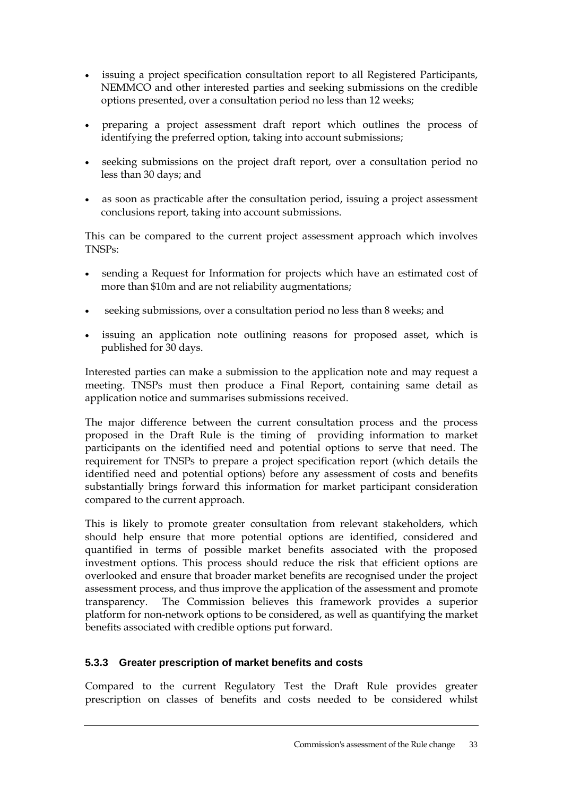- issuing a project specification consultation report to all Registered Participants, NEMMCO and other interested parties and seeking submissions on the credible options presented, over a consultation period no less than 12 weeks;
- preparing a project assessment draft report which outlines the process of identifying the preferred option, taking into account submissions;
- seeking submissions on the project draft report, over a consultation period no less than 30 days; and
- as soon as practicable after the consultation period, issuing a project assessment conclusions report, taking into account submissions.

This can be compared to the current project assessment approach which involves TNSPs:

- sending a Request for Information for projects which have an estimated cost of more than \$10m and are not reliability augmentations;
- seeking submissions, over a consultation period no less than 8 weeks; and
- issuing an application note outlining reasons for proposed asset, which is published for 30 days.

Interested parties can make a submission to the application note and may request a meeting. TNSPs must then produce a Final Report, containing same detail as application notice and summarises submissions received.

The major difference between the current consultation process and the process proposed in the Draft Rule is the timing of providing information to market participants on the identified need and potential options to serve that need. The requirement for TNSPs to prepare a project specification report (which details the identified need and potential options) before any assessment of costs and benefits substantially brings forward this information for market participant consideration compared to the current approach.

This is likely to promote greater consultation from relevant stakeholders, which should help ensure that more potential options are identified, considered and quantified in terms of possible market benefits associated with the proposed investment options. This process should reduce the risk that efficient options are overlooked and ensure that broader market benefits are recognised under the project assessment process, and thus improve the application of the assessment and promote transparency. The Commission believes this framework provides a superior platform for non-network options to be considered, as well as quantifying the market benefits associated with credible options put forward.

### **5.3.3 Greater prescription of market benefits and costs**

Compared to the current Regulatory Test the Draft Rule provides greater prescription on classes of benefits and costs needed to be considered whilst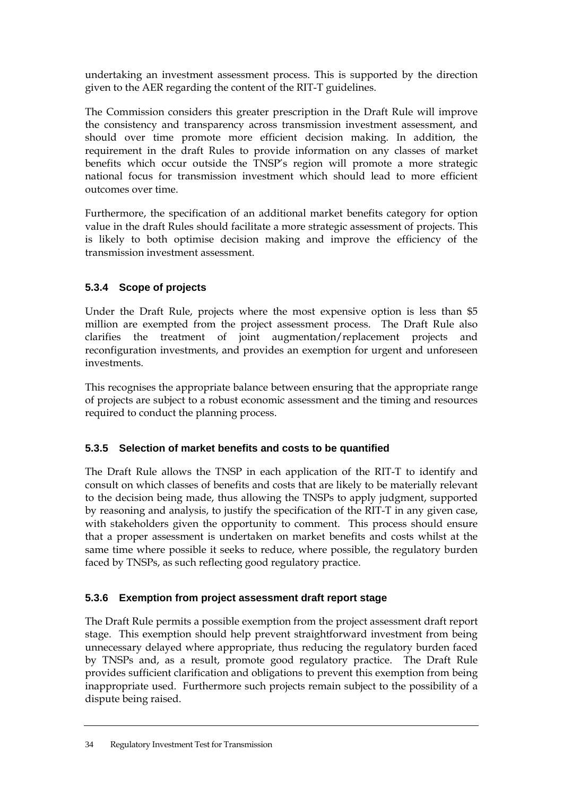undertaking an investment assessment process. This is supported by the direction given to the AER regarding the content of the RIT-T guidelines.

The Commission considers this greater prescription in the Draft Rule will improve the consistency and transparency across transmission investment assessment, and should over time promote more efficient decision making. In addition, the requirement in the draft Rules to provide information on any classes of market benefits which occur outside the TNSP's region will promote a more strategic national focus for transmission investment which should lead to more efficient outcomes over time.

Furthermore, the specification of an additional market benefits category for option value in the draft Rules should facilitate a more strategic assessment of projects. This is likely to both optimise decision making and improve the efficiency of the transmission investment assessment.

### **5.3.4 Scope of projects**

Under the Draft Rule, projects where the most expensive option is less than \$5 million are exempted from the project assessment process. The Draft Rule also clarifies the treatment of joint augmentation/replacement projects and reconfiguration investments, and provides an exemption for urgent and unforeseen investments.

This recognises the appropriate balance between ensuring that the appropriate range of projects are subject to a robust economic assessment and the timing and resources required to conduct the planning process.

### **5.3.5 Selection of market benefits and costs to be quantified**

The Draft Rule allows the TNSP in each application of the RIT-T to identify and consult on which classes of benefits and costs that are likely to be materially relevant to the decision being made, thus allowing the TNSPs to apply judgment, supported by reasoning and analysis, to justify the specification of the RIT-T in any given case, with stakeholders given the opportunity to comment. This process should ensure that a proper assessment is undertaken on market benefits and costs whilst at the same time where possible it seeks to reduce, where possible, the regulatory burden faced by TNSPs, as such reflecting good regulatory practice.

### **5.3.6 Exemption from project assessment draft report stage**

The Draft Rule permits a possible exemption from the project assessment draft report stage. This exemption should help prevent straightforward investment from being unnecessary delayed where appropriate, thus reducing the regulatory burden faced by TNSPs and, as a result, promote good regulatory practice. The Draft Rule provides sufficient clarification and obligations to prevent this exemption from being inappropriate used. Furthermore such projects remain subject to the possibility of a dispute being raised.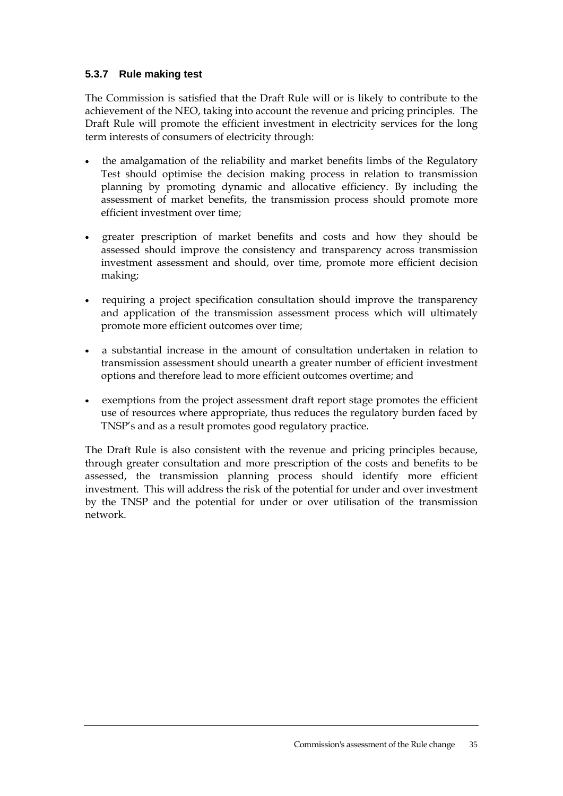### **5.3.7 Rule making test**

The Commission is satisfied that the Draft Rule will or is likely to contribute to the achievement of the NEO, taking into account the revenue and pricing principles. The Draft Rule will promote the efficient investment in electricity services for the long term interests of consumers of electricity through:

- the amalgamation of the reliability and market benefits limbs of the Regulatory Test should optimise the decision making process in relation to transmission planning by promoting dynamic and allocative efficiency. By including the assessment of market benefits, the transmission process should promote more efficient investment over time;
- greater prescription of market benefits and costs and how they should be assessed should improve the consistency and transparency across transmission investment assessment and should, over time, promote more efficient decision making;
- requiring a project specification consultation should improve the transparency and application of the transmission assessment process which will ultimately promote more efficient outcomes over time;
- a substantial increase in the amount of consultation undertaken in relation to transmission assessment should unearth a greater number of efficient investment options and therefore lead to more efficient outcomes overtime; and
- exemptions from the project assessment draft report stage promotes the efficient use of resources where appropriate, thus reduces the regulatory burden faced by TNSP's and as a result promotes good regulatory practice.

The Draft Rule is also consistent with the revenue and pricing principles because, through greater consultation and more prescription of the costs and benefits to be assessed, the transmission planning process should identify more efficient investment. This will address the risk of the potential for under and over investment by the TNSP and the potential for under or over utilisation of the transmission network.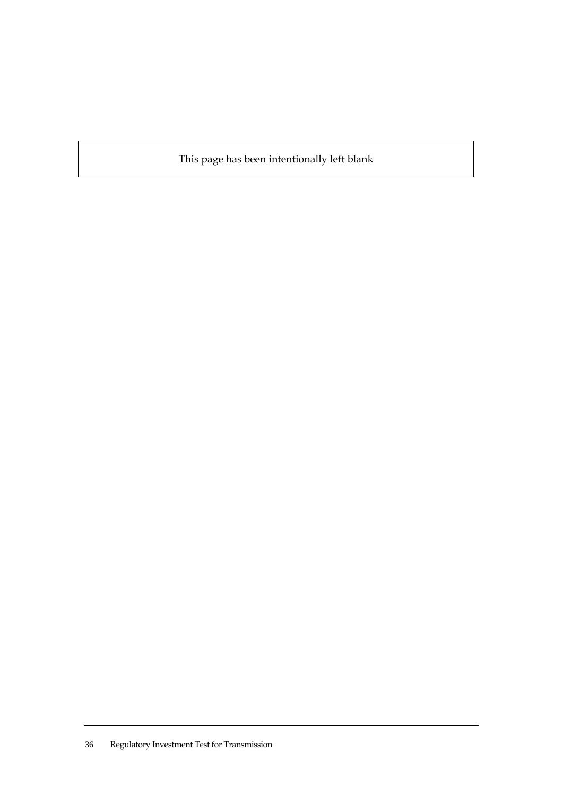This page has been intentionally left blank